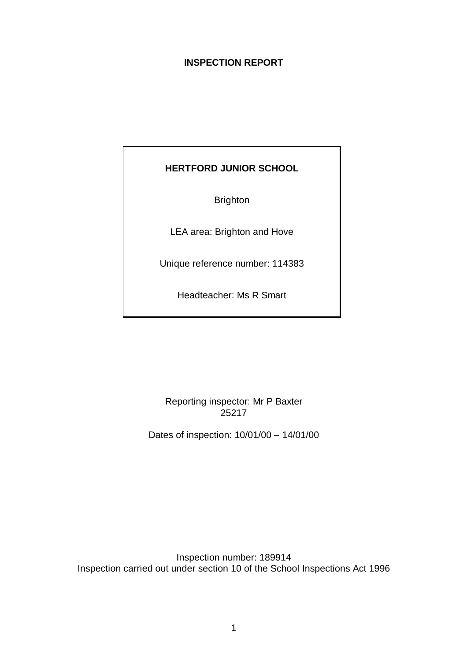# **INSPECTION REPORT**

# **HERTFORD JUNIOR SCHOOL**

Brighton

LEA area: Brighton and Hove

Unique reference number: 114383

Headteacher: Ms R Smart

Reporting inspector: Mr P Baxter 25217

Dates of inspection: 10/01/00 – 14/01/00

Inspection number: 189914 Inspection carried out under section 10 of the School Inspections Act 1996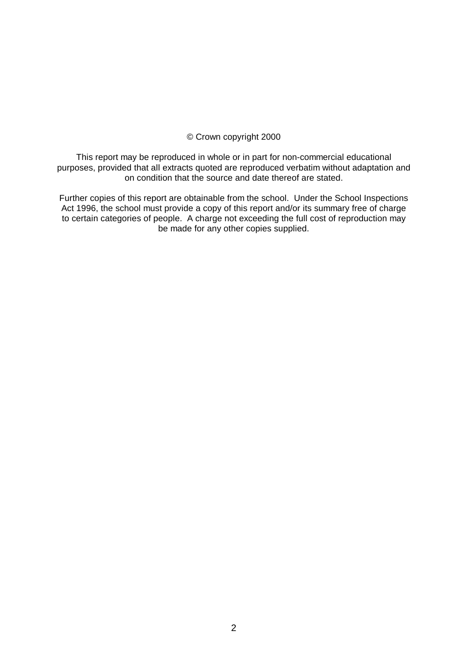## © Crown copyright 2000

This report may be reproduced in whole or in part for non-commercial educational purposes, provided that all extracts quoted are reproduced verbatim without adaptation and on condition that the source and date thereof are stated.

Further copies of this report are obtainable from the school. Under the School Inspections Act 1996, the school must provide a copy of this report and/or its summary free of charge to certain categories of people. A charge not exceeding the full cost of reproduction may be made for any other copies supplied.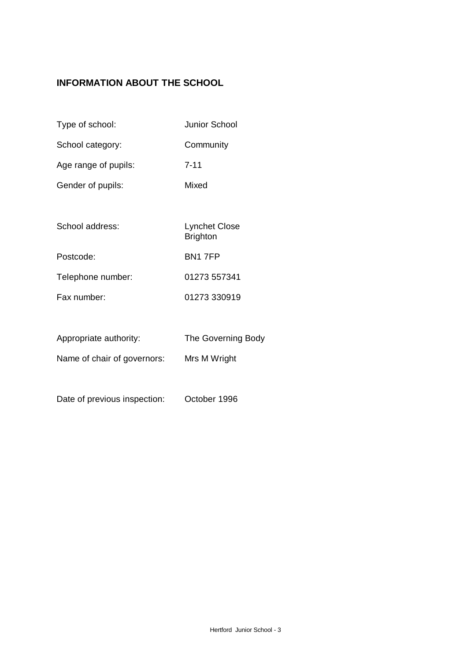# **INFORMATION ABOUT THE SCHOOL**

- Type of school: Junior School
- School category: Community
- Age range of pupils: 7-11
- Gender of pupils: Mixed
- School address: Lynchet Close **Brighton** Postcode: BN1 7FP Telephone number: 01273 557341 Fax number: 01273 330919
- Appropriate authority: The Governing Body
- Name of chair of governors: Mrs M Wright
- Date of previous inspection: October 1996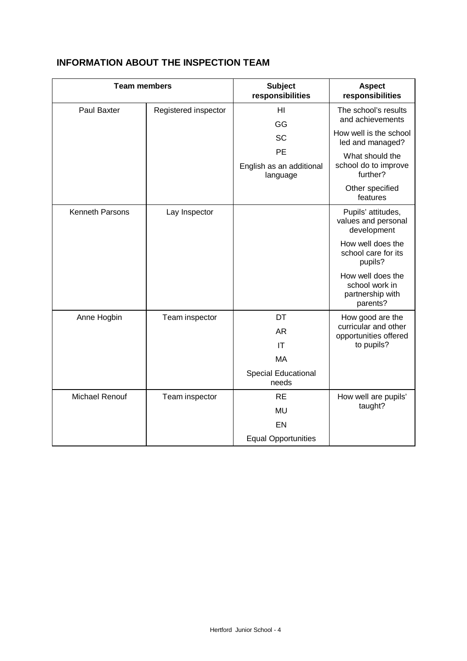| <b>Team members</b> |                      | <b>Subject</b><br>responsibilities         | <b>Aspect</b><br>responsibilities                                   |  |
|---------------------|----------------------|--------------------------------------------|---------------------------------------------------------------------|--|
| <b>Paul Baxter</b>  | Registered inspector | HI<br>GG                                   | The school's results<br>and achievements                            |  |
|                     |                      | <b>SC</b>                                  | How well is the school<br>led and managed?                          |  |
|                     |                      | PE<br>English as an additional<br>language | What should the<br>school do to improve<br>further?                 |  |
|                     |                      |                                            | Other specified<br>features                                         |  |
| Kenneth Parsons     | Lay Inspector        |                                            | Pupils' attitudes,<br>values and personal<br>development            |  |
|                     |                      |                                            | How well does the<br>school care for its<br>pupils?                 |  |
|                     |                      |                                            | How well does the<br>school work in<br>partnership with<br>parents? |  |
| Anne Hogbin         | Team inspector       | DT                                         | How good are the                                                    |  |
|                     |                      | <b>AR</b>                                  | curricular and other<br>opportunities offered                       |  |
|                     |                      | IT                                         | to pupils?                                                          |  |
|                     |                      | <b>MA</b>                                  |                                                                     |  |
|                     |                      | Special Educational<br>needs               |                                                                     |  |
| Michael Renouf      | Team inspector       | <b>RE</b>                                  | How well are pupils'                                                |  |
|                     |                      | <b>MU</b>                                  | taught?                                                             |  |
|                     |                      | <b>EN</b>                                  |                                                                     |  |
|                     |                      | <b>Equal Opportunities</b>                 |                                                                     |  |

# **INFORMATION ABOUT THE INSPECTION TEAM**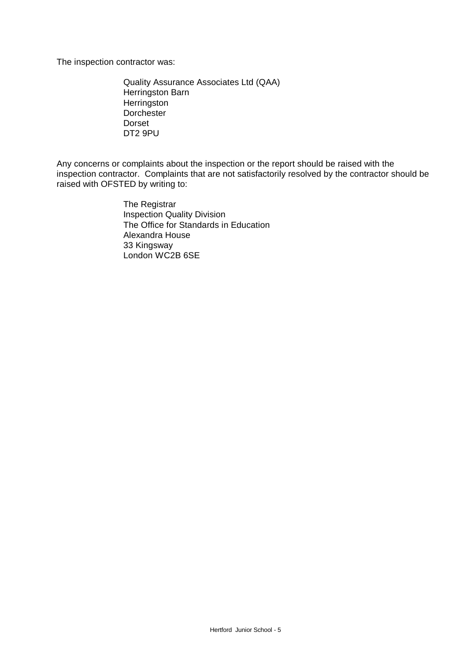The inspection contractor was:

Quality Assurance Associates Ltd (QAA) Herringston Barn **Herringston Dorchester** Dorset DT2 9PU

Any concerns or complaints about the inspection or the report should be raised with the inspection contractor. Complaints that are not satisfactorily resolved by the contractor should be raised with OFSTED by writing to:

> The Registrar Inspection Quality Division The Office for Standards in Education Alexandra House 33 Kingsway London WC2B 6SE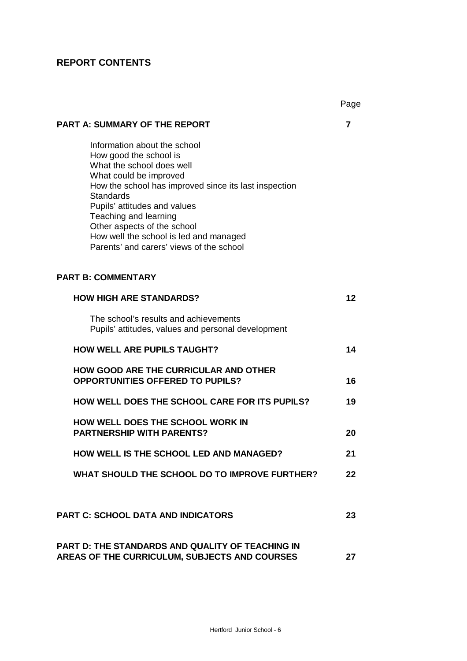# **REPORT CONTENTS**

|                                                                                                                                                                                                                                                                                                                                                                          | Page |
|--------------------------------------------------------------------------------------------------------------------------------------------------------------------------------------------------------------------------------------------------------------------------------------------------------------------------------------------------------------------------|------|
| <b>PART A: SUMMARY OF THE REPORT</b>                                                                                                                                                                                                                                                                                                                                     | 7    |
| Information about the school<br>How good the school is<br>What the school does well<br>What could be improved<br>How the school has improved since its last inspection<br><b>Standards</b><br>Pupils' attitudes and values<br>Teaching and learning<br>Other aspects of the school<br>How well the school is led and managed<br>Parents' and carers' views of the school |      |
| <b>PART B: COMMENTARY</b>                                                                                                                                                                                                                                                                                                                                                |      |
| <b>HOW HIGH ARE STANDARDS?</b>                                                                                                                                                                                                                                                                                                                                           | 12   |
| The school's results and achievements<br>Pupils' attitudes, values and personal development                                                                                                                                                                                                                                                                              |      |
| <b>HOW WELL ARE PUPILS TAUGHT?</b>                                                                                                                                                                                                                                                                                                                                       | 14   |
| HOW GOOD ARE THE CURRICULAR AND OTHER<br><b>OPPORTUNITIES OFFERED TO PUPILS?</b>                                                                                                                                                                                                                                                                                         | 16   |
| <b>HOW WELL DOES THE SCHOOL CARE FOR ITS PUPILS?</b>                                                                                                                                                                                                                                                                                                                     | 19   |
| <b>HOW WELL DOES THE SCHOOL WORK IN</b><br><b>PARTNERSHIP WITH PARENTS?</b>                                                                                                                                                                                                                                                                                              | 20   |
| HOW WELL IS THE SCHOOL LED AND MANAGED?                                                                                                                                                                                                                                                                                                                                  | 21   |
| WHAT SHOULD THE SCHOOL DO TO IMPROVE FURTHER?                                                                                                                                                                                                                                                                                                                            | 22   |
| <b>PART C: SCHOOL DATA AND INDICATORS</b>                                                                                                                                                                                                                                                                                                                                | 23   |
| <b>PART D: THE STANDARDS AND QUALITY OF TEACHING IN</b><br>AREAS OF THE CURRICULUM, SUBJECTS AND COURSES                                                                                                                                                                                                                                                                 | 27   |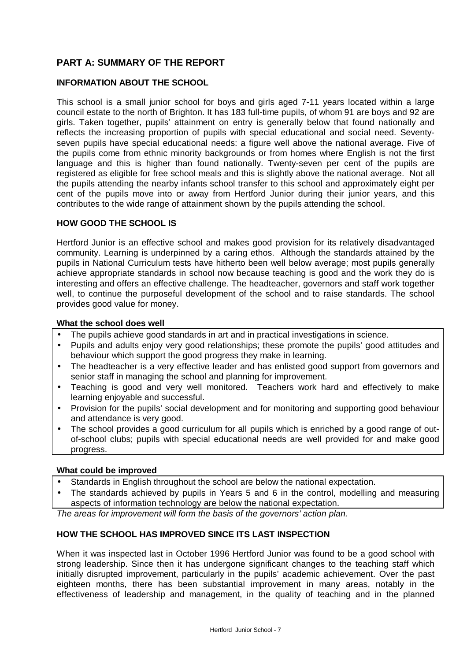# **PART A: SUMMARY OF THE REPORT**

## **INFORMATION ABOUT THE SCHOOL**

This school is a small junior school for boys and girls aged 7-11 years located within a large council estate to the north of Brighton. It has 183 full-time pupils, of whom 91 are boys and 92 are girls. Taken together, pupils' attainment on entry is generally below that found nationally and reflects the increasing proportion of pupils with special educational and social need. Seventyseven pupils have special educational needs: a figure well above the national average. Five of the pupils come from ethnic minority backgrounds or from homes where English is not the first language and this is higher than found nationally. Twenty-seven per cent of the pupils are registered as eligible for free school meals and this is slightly above the national average. Not all the pupils attending the nearby infants school transfer to this school and approximately eight per cent of the pupils move into or away from Hertford Junior during their junior years, and this contributes to the wide range of attainment shown by the pupils attending the school.

## **HOW GOOD THE SCHOOL IS**

Hertford Junior is an effective school and makes good provision for its relatively disadvantaged community. Learning is underpinned by a caring ethos. Although the standards attained by the pupils in National Curriculum tests have hitherto been well below average; most pupils generally achieve appropriate standards in school now because teaching is good and the work they do is interesting and offers an effective challenge. The headteacher, governors and staff work together well, to continue the purposeful development of the school and to raise standards. The school provides good value for money.

#### **What the school does well**

- The pupils achieve good standards in art and in practical investigations in science.
- Pupils and adults enjoy very good relationships; these promote the pupils' good attitudes and behaviour which support the good progress they make in learning.
- The headteacher is a very effective leader and has enlisted good support from governors and senior staff in managing the school and planning for improvement.
- Teaching is good and very well monitored. Teachers work hard and effectively to make learning enjoyable and successful.
- Provision for the pupils' social development and for monitoring and supporting good behaviour and attendance is very good.
- The school provides a good curriculum for all pupils which is enriched by a good range of outof-school clubs; pupils with special educational needs are well provided for and make good progress.

## **What could be improved**

- Standards in English throughout the school are below the national expectation.
- The standards achieved by pupils in Years 5 and 6 in the control, modelling and measuring aspects of information technology are below the national expectation.

*The areas for improvement will form the basis of the governors' action plan.*

## **HOW THE SCHOOL HAS IMPROVED SINCE ITS LAST INSPECTION**

When it was inspected last in October 1996 Hertford Junior was found to be a good school with strong leadership. Since then it has undergone significant changes to the teaching staff which initially disrupted improvement, particularly in the pupils' academic achievement. Over the past eighteen months, there has been substantial improvement in many areas, notably in the effectiveness of leadership and management, in the quality of teaching and in the planned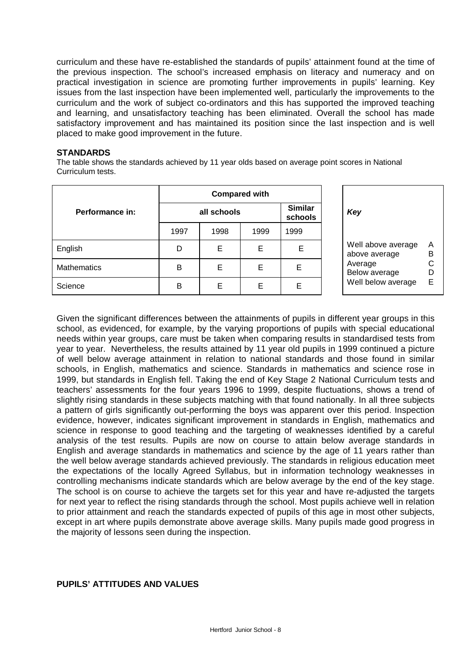curriculum and these have re-established the standards of pupils' attainment found at the time of the previous inspection. The school's increased emphasis on literacy and numeracy and on practical investigation in science are promoting further improvements in pupils' learning. Key issues from the last inspection have been implemented well, particularly the improvements to the curriculum and the work of subject co-ordinators and this has supported the improved teaching and learning, and unsatisfactory teaching has been eliminated. Overall the school has made satisfactory improvement and has maintained its position since the last inspection and is well placed to make good improvement in the future.

#### **STANDARDS**

The table shows the standards achieved by 11 year olds based on average point scores in National Curriculum tests.

|                    | <b>Compared with</b> |      |      |                           |                                               |  |
|--------------------|----------------------|------|------|---------------------------|-----------------------------------------------|--|
| Performance in:    | all schools          |      |      | <b>Similar</b><br>schools | Key                                           |  |
|                    | 1997                 | 1998 | 1999 | 1999                      |                                               |  |
| English            | D                    | Е    | Е    | Е                         | A<br>Well above average<br>B<br>above average |  |
| <b>Mathematics</b> | B                    | Е    | Е    | E                         | C<br>Average<br>Below average<br>$\Box$       |  |
| Science            | B                    | E    | Е    | E                         | E<br>Well below average                       |  |

| Key                                                                                   |                       |
|---------------------------------------------------------------------------------------|-----------------------|
| Well above average<br>above average<br>Average<br>Below average<br>Well below average | А<br>в<br>C<br>D<br>F |

Given the significant differences between the attainments of pupils in different year groups in this school, as evidenced, for example, by the varying proportions of pupils with special educational needs within year groups, care must be taken when comparing results in standardised tests from year to year. Nevertheless, the results attained by 11 year old pupils in 1999 continued a picture of well below average attainment in relation to national standards and those found in similar schools, in English, mathematics and science. Standards in mathematics and science rose in 1999, but standards in English fell. Taking the end of Key Stage 2 National Curriculum tests and teachers' assessments for the four years 1996 to 1999, despite fluctuations, shows a trend of slightly rising standards in these subjects matching with that found nationally. In all three subjects a pattern of girls significantly out-performing the boys was apparent over this period. Inspection evidence, however, indicates significant improvement in standards in English, mathematics and science in response to good teaching and the targeting of weaknesses identified by a careful analysis of the test results. Pupils are now on course to attain below average standards in English and average standards in mathematics and science by the age of 11 years rather than the well below average standards achieved previously. The standards in religious education meet the expectations of the locally Agreed Syllabus, but in information technology weaknesses in controlling mechanisms indicate standards which are below average by the end of the key stage. The school is on course to achieve the targets set for this year and have re-adjusted the targets for next year to reflect the rising standards through the school. Most pupils achieve well in relation to prior attainment and reach the standards expected of pupils of this age in most other subjects, except in art where pupils demonstrate above average skills. Many pupils made good progress in the majority of lessons seen during the inspection.

## **PUPILS' ATTITUDES AND VALUES**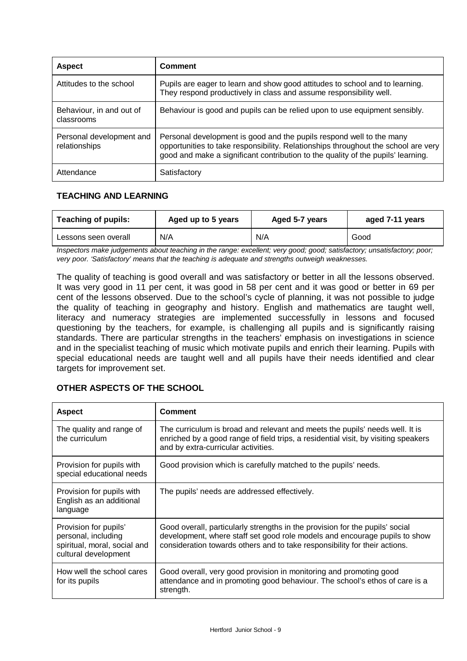| <b>Aspect</b>                             | Comment                                                                                                                                                                                                                                        |
|-------------------------------------------|------------------------------------------------------------------------------------------------------------------------------------------------------------------------------------------------------------------------------------------------|
| Attitudes to the school                   | Pupils are eager to learn and show good attitudes to school and to learning.<br>They respond productively in class and assume responsibility well.                                                                                             |
| Behaviour, in and out of<br>classrooms    | Behaviour is good and pupils can be relied upon to use equipment sensibly.                                                                                                                                                                     |
| Personal development and<br>relationships | Personal development is good and the pupils respond well to the many<br>opportunities to take responsibility. Relationships throughout the school are very<br>good and make a significant contribution to the quality of the pupils' learning. |
| Attendance                                | Satisfactory                                                                                                                                                                                                                                   |

# **TEACHING AND LEARNING**

| <b>Teaching of pupils:</b><br>Aged up to 5 years |     | Aged 5-7 years | aged 7-11 years |  |
|--------------------------------------------------|-----|----------------|-----------------|--|
| Lessons seen overall                             | N/A | N/A            | Good            |  |

*Inspectors make judgements about teaching in the range: excellent; very good; good; satisfactory; unsatisfactory; poor; very poor. 'Satisfactory' means that the teaching is adequate and strengths outweigh weaknesses.*

The quality of teaching is good overall and was satisfactory or better in all the lessons observed. It was very good in 11 per cent, it was good in 58 per cent and it was good or better in 69 per cent of the lessons observed. Due to the school's cycle of planning, it was not possible to judge the quality of teaching in geography and history. English and mathematics are taught well, literacy and numeracy strategies are implemented successfully in lessons and focused questioning by the teachers, for example, is challenging all pupils and is significantly raising standards. There are particular strengths in the teachers' emphasis on investigations in science and in the specialist teaching of music which motivate pupils and enrich their learning. Pupils with special educational needs are taught well and all pupils have their needs identified and clear targets for improvement set.

| <b>Aspect</b>                                                                                        | Comment                                                                                                                                                                                                                                  |
|------------------------------------------------------------------------------------------------------|------------------------------------------------------------------------------------------------------------------------------------------------------------------------------------------------------------------------------------------|
| The quality and range of<br>the curriculum                                                           | The curriculum is broad and relevant and meets the pupils' needs well. It is<br>enriched by a good range of field trips, a residential visit, by visiting speakers<br>and by extra-curricular activities.                                |
| Provision for pupils with<br>special educational needs                                               | Good provision which is carefully matched to the pupils' needs.                                                                                                                                                                          |
| Provision for pupils with<br>English as an additional<br>language                                    | The pupils' needs are addressed effectively.                                                                                                                                                                                             |
| Provision for pupils'<br>personal, including<br>spiritual, moral, social and<br>cultural development | Good overall, particularly strengths in the provision for the pupils' social<br>development, where staff set good role models and encourage pupils to show<br>consideration towards others and to take responsibility for their actions. |
| How well the school cares<br>for its pupils                                                          | Good overall, very good provision in monitoring and promoting good<br>attendance and in promoting good behaviour. The school's ethos of care is a<br>strength.                                                                           |

# **OTHER ASPECTS OF THE SCHOOL**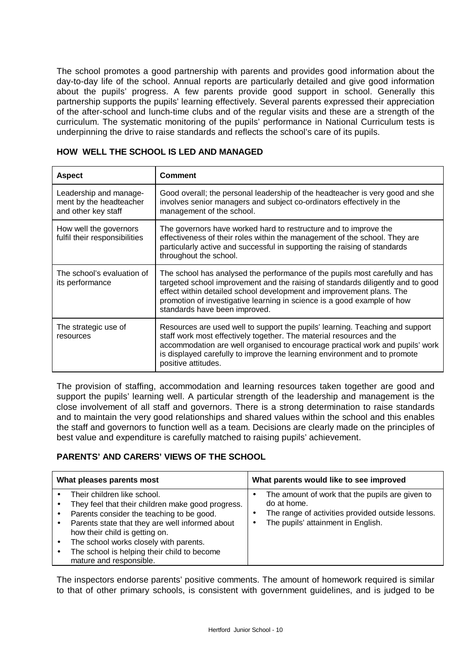The school promotes a good partnership with parents and provides good information about the day-to-day life of the school. Annual reports are particularly detailed and give good information about the pupils' progress. A few parents provide good support in school. Generally this partnership supports the pupils' learning effectively. Several parents expressed their appreciation of the after-school and lunch-time clubs and of the regular visits and these are a strength of the curriculum. The systematic monitoring of the pupils' performance in National Curriculum tests is underpinning the drive to raise standards and reflects the school's care of its pupils.

| <b>Aspect</b>                                                            | <b>Comment</b>                                                                                                                                                                                                                                                                                                                                      |
|--------------------------------------------------------------------------|-----------------------------------------------------------------------------------------------------------------------------------------------------------------------------------------------------------------------------------------------------------------------------------------------------------------------------------------------------|
| Leadership and manage-<br>ment by the headteacher<br>and other key staff | Good overall; the personal leadership of the headteacher is very good and she<br>involves senior managers and subject co-ordinators effectively in the<br>management of the school.                                                                                                                                                                 |
| How well the governors<br>fulfil their responsibilities                  | The governors have worked hard to restructure and to improve the<br>effectiveness of their roles within the management of the school. They are<br>particularly active and successful in supporting the raising of standards<br>throughout the school.                                                                                               |
| The school's evaluation of<br>its performance                            | The school has analysed the performance of the pupils most carefully and has<br>targeted school improvement and the raising of standards diligently and to good<br>effect within detailed school development and improvement plans. The<br>promotion of investigative learning in science is a good example of how<br>standards have been improved. |
| The strategic use of<br>resources                                        | Resources are used well to support the pupils' learning. Teaching and support<br>staff work most effectively together. The material resources and the<br>accommodation are well organised to encourage practical work and pupils' work<br>is displayed carefully to improve the learning environment and to promote<br>positive attitudes.          |

#### **HOW WELL THE SCHOOL IS LED AND MANAGED**

The provision of staffing, accommodation and learning resources taken together are good and support the pupils' learning well. A particular strength of the leadership and management is the close involvement of all staff and governors. There is a strong determination to raise standards and to maintain the very good relationships and shared values within the school and this enables the staff and governors to function well as a team. Decisions are clearly made on the principles of best value and expenditure is carefully matched to raising pupils' achievement.

## **PARENTS' AND CARERS' VIEWS OF THE SCHOOL**

| What pleases parents most |                                                                                                                                                                                                                                                                                                                                        | What parents would like to see improved                                                                                                                        |
|---------------------------|----------------------------------------------------------------------------------------------------------------------------------------------------------------------------------------------------------------------------------------------------------------------------------------------------------------------------------------|----------------------------------------------------------------------------------------------------------------------------------------------------------------|
|                           | Their children like school.<br>They feel that their children make good progress.<br>Parents consider the teaching to be good.<br>Parents state that they are well informed about<br>how their child is getting on.<br>The school works closely with parents.<br>The school is helping their child to become<br>mature and responsible. | The amount of work that the pupils are given to<br>do at home.<br>The range of activities provided outside lessons.<br>The pupils' attainment in English.<br>٠ |

The inspectors endorse parents' positive comments. The amount of homework required is similar to that of other primary schools, is consistent with government guidelines, and is judged to be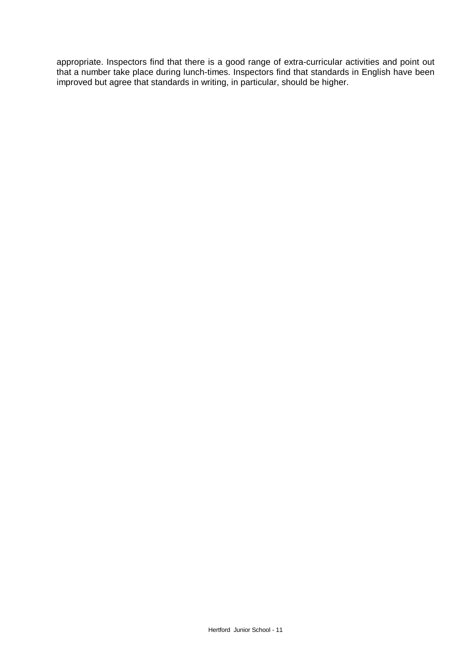appropriate. Inspectors find that there is a good range of extra-curricular activities and point out that a number take place during lunch-times. Inspectors find that standards in English have been improved but agree that standards in writing, in particular, should be higher.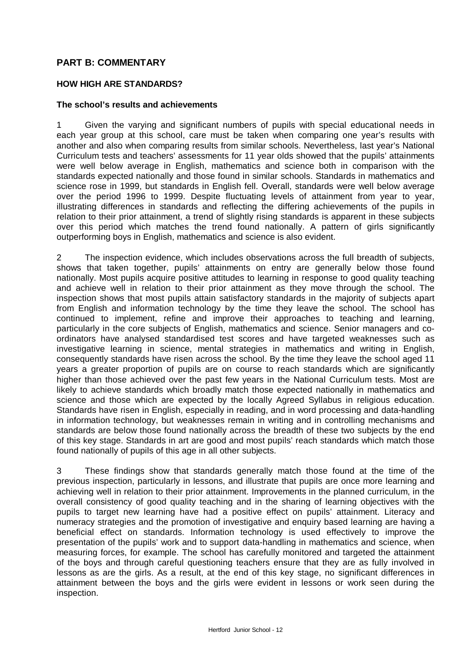# **PART B: COMMENTARY**

#### **HOW HIGH ARE STANDARDS?**

#### **The school's results and achievements**

1 Given the varying and significant numbers of pupils with special educational needs in each year group at this school, care must be taken when comparing one year's results with another and also when comparing results from similar schools. Nevertheless, last year's National Curriculum tests and teachers' assessments for 11 year olds showed that the pupils' attainments were well below average in English, mathematics and science both in comparison with the standards expected nationally and those found in similar schools. Standards in mathematics and science rose in 1999, but standards in English fell. Overall, standards were well below average over the period 1996 to 1999. Despite fluctuating levels of attainment from year to year, illustrating differences in standards and reflecting the differing achievements of the pupils in relation to their prior attainment, a trend of slightly rising standards is apparent in these subjects over this period which matches the trend found nationally. A pattern of girls significantly outperforming boys in English, mathematics and science is also evident.

2 The inspection evidence, which includes observations across the full breadth of subjects, shows that taken together, pupils' attainments on entry are generally below those found nationally. Most pupils acquire positive attitudes to learning in response to good quality teaching and achieve well in relation to their prior attainment as they move through the school. The inspection shows that most pupils attain satisfactory standards in the majority of subjects apart from English and information technology by the time they leave the school. The school has continued to implement, refine and improve their approaches to teaching and learning, particularly in the core subjects of English, mathematics and science. Senior managers and coordinators have analysed standardised test scores and have targeted weaknesses such as investigative learning in science, mental strategies in mathematics and writing in English, consequently standards have risen across the school. By the time they leave the school aged 11 years a greater proportion of pupils are on course to reach standards which are significantly higher than those achieved over the past few years in the National Curriculum tests. Most are likely to achieve standards which broadly match those expected nationally in mathematics and science and those which are expected by the locally Agreed Syllabus in religious education. Standards have risen in English, especially in reading, and in word processing and data-handling in information technology, but weaknesses remain in writing and in controlling mechanisms and standards are below those found nationally across the breadth of these two subjects by the end of this key stage. Standards in art are good and most pupils' reach standards which match those found nationally of pupils of this age in all other subjects.

3 These findings show that standards generally match those found at the time of the previous inspection, particularly in lessons, and illustrate that pupils are once more learning and achieving well in relation to their prior attainment. Improvements in the planned curriculum, in the overall consistency of good quality teaching and in the sharing of learning objectives with the pupils to target new learning have had a positive effect on pupils' attainment. Literacy and numeracy strategies and the promotion of investigative and enquiry based learning are having a beneficial effect on standards. Information technology is used effectively to improve the presentation of the pupils' work and to support data-handling in mathematics and science, when measuring forces, for example. The school has carefully monitored and targeted the attainment of the boys and through careful questioning teachers ensure that they are as fully involved in lessons as are the girls. As a result, at the end of this key stage, no significant differences in attainment between the boys and the girls were evident in lessons or work seen during the inspection.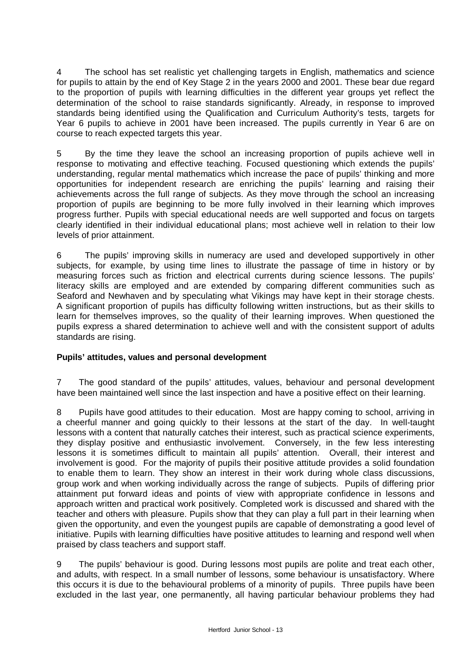4 The school has set realistic yet challenging targets in English, mathematics and science for pupils to attain by the end of Key Stage 2 in the years 2000 and 2001. These bear due regard to the proportion of pupils with learning difficulties in the different year groups yet reflect the determination of the school to raise standards significantly. Already, in response to improved standards being identified using the Qualification and Curriculum Authority's tests, targets for Year 6 pupils to achieve in 2001 have been increased. The pupils currently in Year 6 are on course to reach expected targets this year.

5 By the time they leave the school an increasing proportion of pupils achieve well in response to motivating and effective teaching. Focused questioning which extends the pupils' understanding, regular mental mathematics which increase the pace of pupils' thinking and more opportunities for independent research are enriching the pupils' learning and raising their achievements across the full range of subjects. As they move through the school an increasing proportion of pupils are beginning to be more fully involved in their learning which improves progress further. Pupils with special educational needs are well supported and focus on targets clearly identified in their individual educational plans; most achieve well in relation to their low levels of prior attainment.

6 The pupils' improving skills in numeracy are used and developed supportively in other subjects, for example, by using time lines to illustrate the passage of time in history or by measuring forces such as friction and electrical currents during science lessons. The pupils' literacy skills are employed and are extended by comparing different communities such as Seaford and Newhaven and by speculating what Vikings may have kept in their storage chests. A significant proportion of pupils has difficulty following written instructions, but as their skills to learn for themselves improves, so the quality of their learning improves. When questioned the pupils express a shared determination to achieve well and with the consistent support of adults standards are rising.

# **Pupils' attitudes, values and personal development**

7 The good standard of the pupils' attitudes, values, behaviour and personal development have been maintained well since the last inspection and have a positive effect on their learning.

8 Pupils have good attitudes to their education. Most are happy coming to school, arriving in a cheerful manner and going quickly to their lessons at the start of the day. In well-taught lessons with a content that naturally catches their interest, such as practical science experiments, they display positive and enthusiastic involvement. Conversely, in the few less interesting lessons it is sometimes difficult to maintain all pupils' attention. Overall, their interest and involvement is good. For the majority of pupils their positive attitude provides a solid foundation to enable them to learn. They show an interest in their work during whole class discussions, group work and when working individually across the range of subjects. Pupils of differing prior attainment put forward ideas and points of view with appropriate confidence in lessons and approach written and practical work positively. Completed work is discussed and shared with the teacher and others with pleasure. Pupils show that they can play a full part in their learning when given the opportunity, and even the youngest pupils are capable of demonstrating a good level of initiative. Pupils with learning difficulties have positive attitudes to learning and respond well when praised by class teachers and support staff.

9 The pupils' behaviour is good. During lessons most pupils are polite and treat each other, and adults, with respect. In a small number of lessons, some behaviour is unsatisfactory. Where this occurs it is due to the behavioural problems of a minority of pupils. Three pupils have been excluded in the last year, one permanently, all having particular behaviour problems they had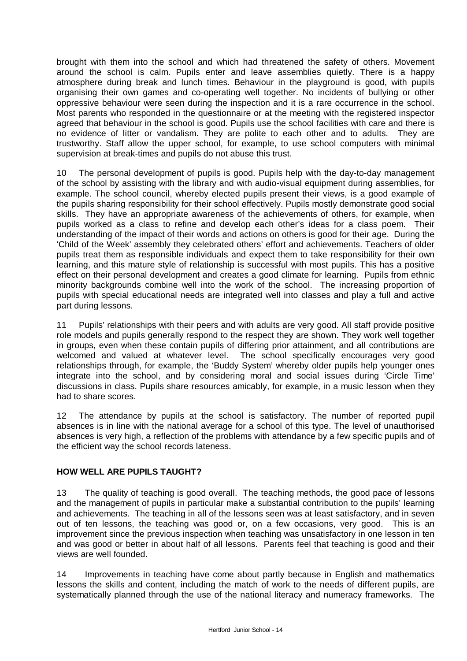brought with them into the school and which had threatened the safety of others. Movement around the school is calm. Pupils enter and leave assemblies quietly. There is a happy atmosphere during break and lunch times. Behaviour in the playground is good, with pupils organising their own games and co-operating well together. No incidents of bullying or other oppressive behaviour were seen during the inspection and it is a rare occurrence in the school. Most parents who responded in the questionnaire or at the meeting with the registered inspector agreed that behaviour in the school is good. Pupils use the school facilities with care and there is no evidence of litter or vandalism. They are polite to each other and to adults. They are trustworthy. Staff allow the upper school, for example, to use school computers with minimal supervision at break-times and pupils do not abuse this trust.

10 The personal development of pupils is good. Pupils help with the day-to-day management of the school by assisting with the library and with audio-visual equipment during assemblies, for example. The school council, whereby elected pupils present their views, is a good example of the pupils sharing responsibility for their school effectively. Pupils mostly demonstrate good social skills. They have an appropriate awareness of the achievements of others, for example, when pupils worked as a class to refine and develop each other's ideas for a class poem. Their understanding of the impact of their words and actions on others is good for their age. During the 'Child of the Week' assembly they celebrated others' effort and achievements. Teachers of older pupils treat them as responsible individuals and expect them to take responsibility for their own learning, and this mature style of relationship is successful with most pupils. This has a positive effect on their personal development and creates a good climate for learning. Pupils from ethnic minority backgrounds combine well into the work of the school. The increasing proportion of pupils with special educational needs are integrated well into classes and play a full and active part during lessons.

11 Pupils' relationships with their peers and with adults are very good. All staff provide positive role models and pupils generally respond to the respect they are shown. They work well together in groups, even when these contain pupils of differing prior attainment, and all contributions are welcomed and valued at whatever level. The school specifically encourages very good relationships through, for example, the 'Buddy System' whereby older pupils help younger ones integrate into the school, and by considering moral and social issues during 'Circle Time' discussions in class. Pupils share resources amicably, for example, in a music lesson when they had to share scores.

12 The attendance by pupils at the school is satisfactory. The number of reported pupil absences is in line with the national average for a school of this type. The level of unauthorised absences is very high, a reflection of the problems with attendance by a few specific pupils and of the efficient way the school records lateness.

## **HOW WELL ARE PUPILS TAUGHT?**

13 The quality of teaching is good overall. The teaching methods, the good pace of lessons and the management of pupils in particular make a substantial contribution to the pupils' learning and achievements. The teaching in all of the lessons seen was at least satisfactory, and in seven out of ten lessons, the teaching was good or, on a few occasions, very good. This is an improvement since the previous inspection when teaching was unsatisfactory in one lesson in ten and was good or better in about half of all lessons. Parents feel that teaching is good and their views are well founded.

14 Improvements in teaching have come about partly because in English and mathematics lessons the skills and content, including the match of work to the needs of different pupils, are systematically planned through the use of the national literacy and numeracy frameworks. The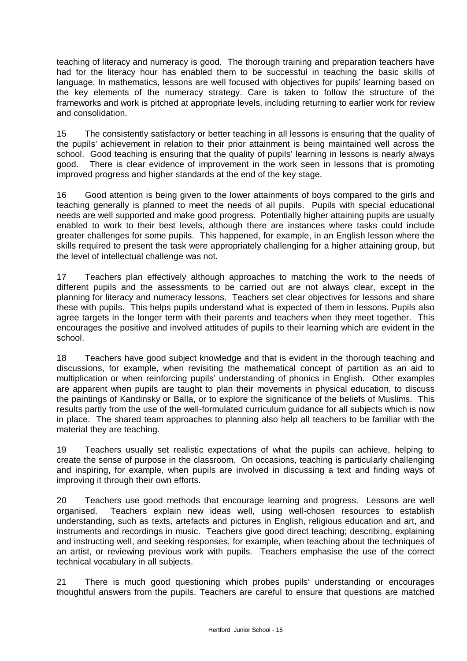teaching of literacy and numeracy is good. The thorough training and preparation teachers have had for the literacy hour has enabled them to be successful in teaching the basic skills of language. In mathematics, lessons are well focused with objectives for pupils' learning based on the key elements of the numeracy strategy. Care is taken to follow the structure of the frameworks and work is pitched at appropriate levels, including returning to earlier work for review and consolidation.

15 The consistently satisfactory or better teaching in all lessons is ensuring that the quality of the pupils' achievement in relation to their prior attainment is being maintained well across the school. Good teaching is ensuring that the quality of pupils' learning in lessons is nearly always good. There is clear evidence of improvement in the work seen in lessons that is promoting improved progress and higher standards at the end of the key stage.

16 Good attention is being given to the lower attainments of boys compared to the girls and teaching generally is planned to meet the needs of all pupils. Pupils with special educational needs are well supported and make good progress. Potentially higher attaining pupils are usually enabled to work to their best levels, although there are instances where tasks could include greater challenges for some pupils. This happened, for example, in an English lesson where the skills required to present the task were appropriately challenging for a higher attaining group, but the level of intellectual challenge was not.

17 Teachers plan effectively although approaches to matching the work to the needs of different pupils and the assessments to be carried out are not always clear, except in the planning for literacy and numeracy lessons. Teachers set clear objectives for lessons and share these with pupils. This helps pupils understand what is expected of them in lessons. Pupils also agree targets in the longer term with their parents and teachers when they meet together. This encourages the positive and involved attitudes of pupils to their learning which are evident in the school.

18 Teachers have good subject knowledge and that is evident in the thorough teaching and discussions, for example, when revisiting the mathematical concept of partition as an aid to multiplication or when reinforcing pupils' understanding of phonics in English. Other examples are apparent when pupils are taught to plan their movements in physical education, to discuss the paintings of Kandinsky or Balla, or to explore the significance of the beliefs of Muslims. This results partly from the use of the well-formulated curriculum guidance for all subjects which is now in place. The shared team approaches to planning also help all teachers to be familiar with the material they are teaching.

19 Teachers usually set realistic expectations of what the pupils can achieve, helping to create the sense of purpose in the classroom. On occasions, teaching is particularly challenging and inspiring, for example, when pupils are involved in discussing a text and finding ways of improving it through their own efforts.

20 Teachers use good methods that encourage learning and progress. Lessons are well organised. Teachers explain new ideas well, using well-chosen resources to establish understanding, such as texts, artefacts and pictures in English, religious education and art, and instruments and recordings in music. Teachers give good direct teaching; describing, explaining and instructing well, and seeking responses, for example, when teaching about the techniques of an artist, or reviewing previous work with pupils. Teachers emphasise the use of the correct technical vocabulary in all subjects.

21 There is much good questioning which probes pupils' understanding or encourages thoughtful answers from the pupils. Teachers are careful to ensure that questions are matched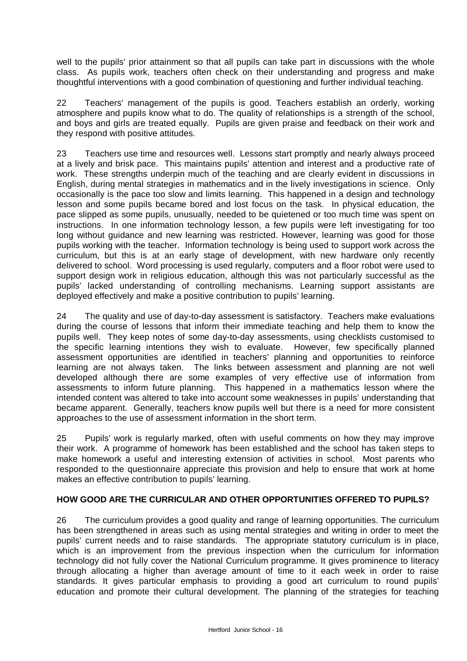well to the pupils' prior attainment so that all pupils can take part in discussions with the whole class. As pupils work, teachers often check on their understanding and progress and make thoughtful interventions with a good combination of questioning and further individual teaching.

22 Teachers' management of the pupils is good. Teachers establish an orderly, working atmosphere and pupils know what to do. The quality of relationships is a strength of the school, and boys and girls are treated equally. Pupils are given praise and feedback on their work and they respond with positive attitudes.

23 Teachers use time and resources well. Lessons start promptly and nearly always proceed at a lively and brisk pace. This maintains pupils' attention and interest and a productive rate of work. These strengths underpin much of the teaching and are clearly evident in discussions in English, during mental strategies in mathematics and in the lively investigations in science. Only occasionally is the pace too slow and limits learning. This happened in a design and technology lesson and some pupils became bored and lost focus on the task. In physical education, the pace slipped as some pupils, unusually, needed to be quietened or too much time was spent on instructions. In one information technology lesson, a few pupils were left investigating for too long without guidance and new learning was restricted. However, learning was good for those pupils working with the teacher. Information technology is being used to support work across the curriculum, but this is at an early stage of development, with new hardware only recently delivered to school. Word processing is used regularly, computers and a floor robot were used to support design work in religious education, although this was not particularly successful as the pupils' lacked understanding of controlling mechanisms. Learning support assistants are deployed effectively and make a positive contribution to pupils' learning.

24 The quality and use of day-to-day assessment is satisfactory. Teachers make evaluations during the course of lessons that inform their immediate teaching and help them to know the pupils well. They keep notes of some day-to-day assessments, using checklists customised to the specific learning intentions they wish to evaluate. However, few specifically planned assessment opportunities are identified in teachers' planning and opportunities to reinforce learning are not always taken. The links between assessment and planning are not well developed although there are some examples of very effective use of information from assessments to inform future planning. This happened in a mathematics lesson where the intended content was altered to take into account some weaknesses in pupils' understanding that became apparent. Generally, teachers know pupils well but there is a need for more consistent approaches to the use of assessment information in the short term.

25 Pupils' work is regularly marked, often with useful comments on how they may improve their work. A programme of homework has been established and the school has taken steps to make homework a useful and interesting extension of activities in school. Most parents who responded to the questionnaire appreciate this provision and help to ensure that work at home makes an effective contribution to pupils' learning.

## **HOW GOOD ARE THE CURRICULAR AND OTHER OPPORTUNITIES OFFERED TO PUPILS?**

26 The curriculum provides a good quality and range of learning opportunities. The curriculum has been strengthened in areas such as using mental strategies and writing in order to meet the pupils' current needs and to raise standards. The appropriate statutory curriculum is in place, which is an improvement from the previous inspection when the curriculum for information technology did not fully cover the National Curriculum programme. It gives prominence to literacy through allocating a higher than average amount of time to it each week in order to raise standards. It gives particular emphasis to providing a good art curriculum to round pupils' education and promote their cultural development. The planning of the strategies for teaching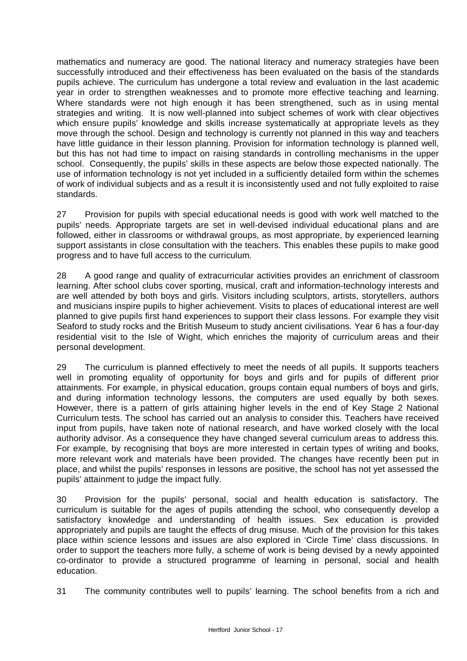mathematics and numeracy are good. The national literacy and numeracy strategies have been successfully introduced and their effectiveness has been evaluated on the basis of the standards pupils achieve. The curriculum has undergone a total review and evaluation in the last academic year in order to strengthen weaknesses and to promote more effective teaching and learning. Where standards were not high enough it has been strengthened, such as in using mental strategies and writing. It is now well-planned into subject schemes of work with clear objectives which ensure pupils' knowledge and skills increase systematically at appropriate levels as they move through the school. Design and technology is currently not planned in this way and teachers have little guidance in their lesson planning. Provision for information technology is planned well, but this has not had time to impact on raising standards in controlling mechanisms in the upper school. Consequently, the pupils' skills in these aspects are below those expected nationally. The use of information technology is not yet included in a sufficiently detailed form within the schemes of work of individual subjects and as a result it is inconsistently used and not fully exploited to raise standards.

27 Provision for pupils with special educational needs is good with work well matched to the pupils' needs. Appropriate targets are set in well-devised individual educational plans and are followed, either in classrooms or withdrawal groups, as most appropriate, by experienced learning support assistants in close consultation with the teachers. This enables these pupils to make good progress and to have full access to the curriculum.

28 A good range and quality of extracurricular activities provides an enrichment of classroom learning. After school clubs cover sporting, musical, craft and information-technology interests and are well attended by both boys and girls. Visitors including sculptors, artists, storytellers, authors and musicians inspire pupils to higher achievement. Visits to places of educational interest are well planned to give pupils first hand experiences to support their class lessons. For example they visit Seaford to study rocks and the British Museum to study ancient civilisations. Year 6 has a four-day residential visit to the Isle of Wight, which enriches the majority of curriculum areas and their personal development.

29 The curriculum is planned effectively to meet the needs of all pupils. It supports teachers well in promoting equality of opportunity for boys and girls and for pupils of different prior attainments. For example, in physical education, groups contain equal numbers of boys and girls, and during information technology lessons, the computers are used equally by both sexes. However, there is a pattern of girls attaining higher levels in the end of Key Stage 2 National Curriculum tests. The school has carried out an analysis to consider this. Teachers have received input from pupils, have taken note of national research, and have worked closely with the local authority advisor. As a consequence they have changed several curriculum areas to address this. For example, by recognising that boys are more interested in certain types of writing and books, more relevant work and materials have been provided. The changes have recently been put in place, and whilst the pupils' responses in lessons are positive, the school has not yet assessed the pupils' attainment to judge the impact fully.

30 Provision for the pupils' personal, social and health education is satisfactory. The curriculum is suitable for the ages of pupils attending the school, who consequently develop a satisfactory knowledge and understanding of health issues. Sex education is provided appropriately and pupils are taught the effects of drug misuse. Much of the provision for this takes place within science lessons and issues are also explored in 'Circle Time' class discussions. In order to support the teachers more fully, a scheme of work is being devised by a newly appointed co-ordinator to provide a structured programme of learning in personal, social and health education.

31 The community contributes well to pupils' learning. The school benefits from a rich and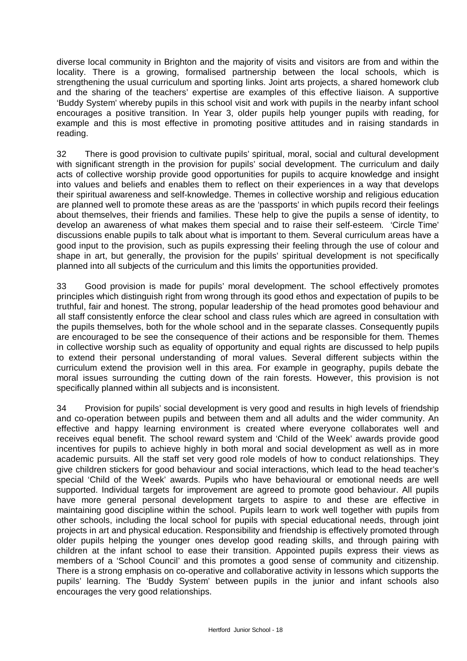diverse local community in Brighton and the majority of visits and visitors are from and within the locality. There is a growing, formalised partnership between the local schools, which is strengthening the usual curriculum and sporting links. Joint arts projects, a shared homework club and the sharing of the teachers' expertise are examples of this effective liaison. A supportive 'Buddy System' whereby pupils in this school visit and work with pupils in the nearby infant school encourages a positive transition. In Year 3, older pupils help younger pupils with reading, for example and this is most effective in promoting positive attitudes and in raising standards in reading.

32 There is good provision to cultivate pupils' spiritual, moral, social and cultural development with significant strength in the provision for pupils' social development. The curriculum and daily acts of collective worship provide good opportunities for pupils to acquire knowledge and insight into values and beliefs and enables them to reflect on their experiences in a way that develops their spiritual awareness and self-knowledge. Themes in collective worship and religious education are planned well to promote these areas as are the 'passports' in which pupils record their feelings about themselves, their friends and families. These help to give the pupils a sense of identity, to develop an awareness of what makes them special and to raise their self-esteem. 'Circle Time' discussions enable pupils to talk about what is important to them. Several curriculum areas have a good input to the provision, such as pupils expressing their feeling through the use of colour and shape in art, but generally, the provision for the pupils' spiritual development is not specifically planned into all subjects of the curriculum and this limits the opportunities provided.

33 Good provision is made for pupils' moral development. The school effectively promotes principles which distinguish right from wrong through its good ethos and expectation of pupils to be truthful, fair and honest. The strong, popular leadership of the head promotes good behaviour and all staff consistently enforce the clear school and class rules which are agreed in consultation with the pupils themselves, both for the whole school and in the separate classes. Consequently pupils are encouraged to be see the consequence of their actions and be responsible for them. Themes in collective worship such as equality of opportunity and equal rights are discussed to help pupils to extend their personal understanding of moral values. Several different subjects within the curriculum extend the provision well in this area. For example in geography, pupils debate the moral issues surrounding the cutting down of the rain forests. However, this provision is not specifically planned within all subjects and is inconsistent.

34 Provision for pupils' social development is very good and results in high levels of friendship and co-operation between pupils and between them and all adults and the wider community. An effective and happy learning environment is created where everyone collaborates well and receives equal benefit. The school reward system and 'Child of the Week' awards provide good incentives for pupils to achieve highly in both moral and social development as well as in more academic pursuits. All the staff set very good role models of how to conduct relationships. They give children stickers for good behaviour and social interactions, which lead to the head teacher's special 'Child of the Week' awards. Pupils who have behavioural or emotional needs are well supported. Individual targets for improvement are agreed to promote good behaviour. All pupils have more general personal development targets to aspire to and these are effective in maintaining good discipline within the school. Pupils learn to work well together with pupils from other schools, including the local school for pupils with special educational needs, through joint projects in art and physical education. Responsibility and friendship is effectively promoted through older pupils helping the younger ones develop good reading skills, and through pairing with children at the infant school to ease their transition. Appointed pupils express their views as members of a 'School Council' and this promotes a good sense of community and citizenship. There is a strong emphasis on co-operative and collaborative activity in lessons which supports the pupils' learning. The 'Buddy System' between pupils in the junior and infant schools also encourages the very good relationships.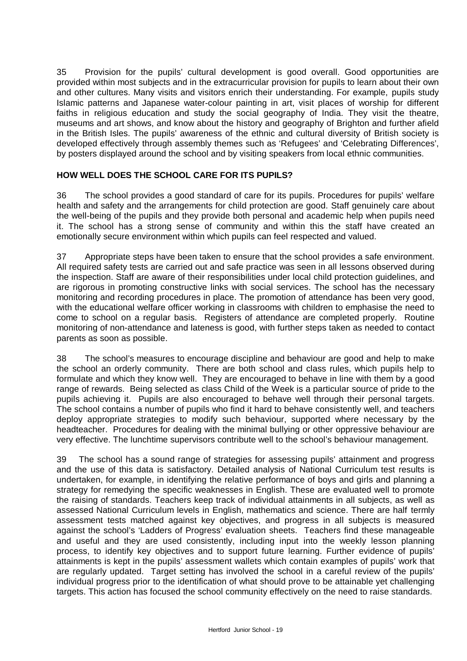35 Provision for the pupils' cultural development is good overall. Good opportunities are provided within most subjects and in the extracurricular provision for pupils to learn about their own and other cultures. Many visits and visitors enrich their understanding. For example, pupils study Islamic patterns and Japanese water-colour painting in art, visit places of worship for different faiths in religious education and study the social geography of India. They visit the theatre, museums and art shows, and know about the history and geography of Brighton and further afield in the British Isles. The pupils' awareness of the ethnic and cultural diversity of British society is developed effectively through assembly themes such as 'Refugees' and 'Celebrating Differences', by posters displayed around the school and by visiting speakers from local ethnic communities.

# **HOW WELL DOES THE SCHOOL CARE FOR ITS PUPILS?**

36 The school provides a good standard of care for its pupils. Procedures for pupils' welfare health and safety and the arrangements for child protection are good. Staff genuinely care about the well-being of the pupils and they provide both personal and academic help when pupils need it. The school has a strong sense of community and within this the staff have created an emotionally secure environment within which pupils can feel respected and valued.

37 Appropriate steps have been taken to ensure that the school provides a safe environment. All required safety tests are carried out and safe practice was seen in all lessons observed during the inspection. Staff are aware of their responsibilities under local child protection guidelines, and are rigorous in promoting constructive links with social services. The school has the necessary monitoring and recording procedures in place. The promotion of attendance has been very good, with the educational welfare officer working in classrooms with children to emphasise the need to come to school on a regular basis. Registers of attendance are completed properly. Routine monitoring of non-attendance and lateness is good, with further steps taken as needed to contact parents as soon as possible.

38 The school's measures to encourage discipline and behaviour are good and help to make the school an orderly community. There are both school and class rules, which pupils help to formulate and which they know well. They are encouraged to behave in line with them by a good range of rewards. Being selected as class Child of the Week is a particular source of pride to the pupils achieving it. Pupils are also encouraged to behave well through their personal targets. The school contains a number of pupils who find it hard to behave consistently well, and teachers deploy appropriate strategies to modify such behaviour, supported where necessary by the headteacher. Procedures for dealing with the minimal bullying or other oppressive behaviour are very effective. The lunchtime supervisors contribute well to the school's behaviour management.

39 The school has a sound range of strategies for assessing pupils' attainment and progress and the use of this data is satisfactory. Detailed analysis of National Curriculum test results is undertaken, for example, in identifying the relative performance of boys and girls and planning a strategy for remedying the specific weaknesses in English. These are evaluated well to promote the raising of standards. Teachers keep track of individual attainments in all subjects, as well as assessed National Curriculum levels in English, mathematics and science. There are half termly assessment tests matched against key objectives, and progress in all subjects is measured against the school's 'Ladders of Progress' evaluation sheets. Teachers find these manageable and useful and they are used consistently, including input into the weekly lesson planning process, to identify key objectives and to support future learning. Further evidence of pupils' attainments is kept in the pupils' assessment wallets which contain examples of pupils' work that are regularly updated. Target setting has involved the school in a careful review of the pupils' individual progress prior to the identification of what should prove to be attainable yet challenging targets. This action has focused the school community effectively on the need to raise standards.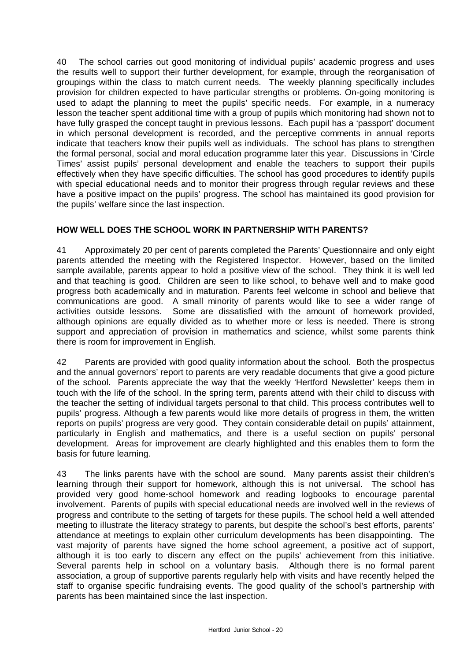40 The school carries out good monitoring of individual pupils' academic progress and uses the results well to support their further development, for example, through the reorganisation of groupings within the class to match current needs. The weekly planning specifically includes provision for children expected to have particular strengths or problems. On-going monitoring is used to adapt the planning to meet the pupils' specific needs. For example, in a numeracy lesson the teacher spent additional time with a group of pupils which monitoring had shown not to have fully grasped the concept taught in previous lessons. Each pupil has a 'passport' document in which personal development is recorded, and the perceptive comments in annual reports indicate that teachers know their pupils well as individuals. The school has plans to strengthen the formal personal, social and moral education programme later this year. Discussions in 'Circle Times' assist pupils' personal development and enable the teachers to support their pupils effectively when they have specific difficulties. The school has good procedures to identify pupils with special educational needs and to monitor their progress through regular reviews and these have a positive impact on the pupils' progress. The school has maintained its good provision for the pupils' welfare since the last inspection.

# **HOW WELL DOES THE SCHOOL WORK IN PARTNERSHIP WITH PARENTS?**

41 Approximately 20 per cent of parents completed the Parents' Questionnaire and only eight parents attended the meeting with the Registered Inspector. However, based on the limited sample available, parents appear to hold a positive view of the school. They think it is well led and that teaching is good. Children are seen to like school, to behave well and to make good progress both academically and in maturation. Parents feel welcome in school and believe that communications are good. A small minority of parents would like to see a wider range of activities outside lessons. Some are dissatisfied with the amount of homework provided, although opinions are equally divided as to whether more or less is needed. There is strong support and appreciation of provision in mathematics and science, whilst some parents think there is room for improvement in English.

42 Parents are provided with good quality information about the school. Both the prospectus and the annual governors' report to parents are very readable documents that give a good picture of the school. Parents appreciate the way that the weekly 'Hertford Newsletter' keeps them in touch with the life of the school. In the spring term, parents attend with their child to discuss with the teacher the setting of individual targets personal to that child. This process contributes well to pupils' progress. Although a few parents would like more details of progress in them, the written reports on pupils' progress are very good. They contain considerable detail on pupils' attainment, particularly in English and mathematics, and there is a useful section on pupils' personal development. Areas for improvement are clearly highlighted and this enables them to form the basis for future learning.

43 The links parents have with the school are sound. Many parents assist their children's learning through their support for homework, although this is not universal. The school has provided very good home-school homework and reading logbooks to encourage parental involvement. Parents of pupils with special educational needs are involved well in the reviews of progress and contribute to the setting of targets for these pupils. The school held a well attended meeting to illustrate the literacy strategy to parents, but despite the school's best efforts, parents' attendance at meetings to explain other curriculum developments has been disappointing. The vast majority of parents have signed the home school agreement, a positive act of support, although it is too early to discern any effect on the pupils' achievement from this initiative. Several parents help in school on a voluntary basis. Although there is no formal parent association, a group of supportive parents regularly help with visits and have recently helped the staff to organise specific fundraising events. The good quality of the school's partnership with parents has been maintained since the last inspection.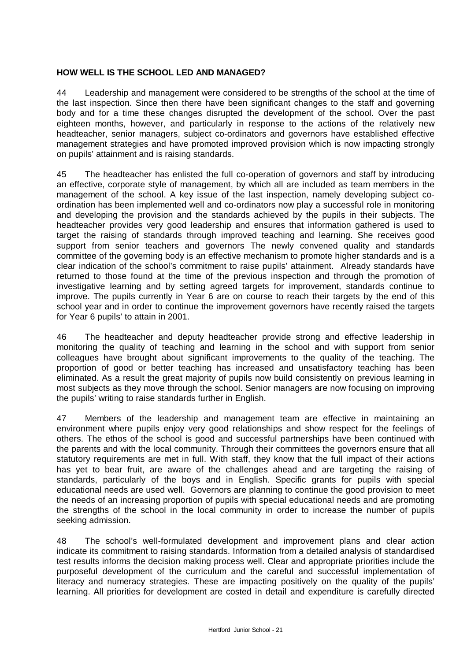# **HOW WELL IS THE SCHOOL LED AND MANAGED?**

44 Leadership and management were considered to be strengths of the school at the time of the last inspection. Since then there have been significant changes to the staff and governing body and for a time these changes disrupted the development of the school. Over the past eighteen months, however, and particularly in response to the actions of the relatively new headteacher, senior managers, subject co-ordinators and governors have established effective management strategies and have promoted improved provision which is now impacting strongly on pupils' attainment and is raising standards.

45 The headteacher has enlisted the full co-operation of governors and staff by introducing an effective, corporate style of management, by which all are included as team members in the management of the school. A key issue of the last inspection, namely developing subject coordination has been implemented well and co-ordinators now play a successful role in monitoring and developing the provision and the standards achieved by the pupils in their subjects. The headteacher provides very good leadership and ensures that information gathered is used to target the raising of standards through improved teaching and learning. She receives good support from senior teachers and governors The newly convened quality and standards committee of the governing body is an effective mechanism to promote higher standards and is a clear indication of the school's commitment to raise pupils' attainment. Already standards have returned to those found at the time of the previous inspection and through the promotion of investigative learning and by setting agreed targets for improvement, standards continue to improve. The pupils currently in Year 6 are on course to reach their targets by the end of this school year and in order to continue the improvement governors have recently raised the targets for Year 6 pupils' to attain in 2001.

46 The headteacher and deputy headteacher provide strong and effective leadership in monitoring the quality of teaching and learning in the school and with support from senior colleagues have brought about significant improvements to the quality of the teaching. The proportion of good or better teaching has increased and unsatisfactory teaching has been eliminated. As a result the great majority of pupils now build consistently on previous learning in most subjects as they move through the school. Senior managers are now focusing on improving the pupils' writing to raise standards further in English.

47 Members of the leadership and management team are effective in maintaining an environment where pupils enjoy very good relationships and show respect for the feelings of others. The ethos of the school is good and successful partnerships have been continued with the parents and with the local community. Through their committees the governors ensure that all statutory requirements are met in full. With staff, they know that the full impact of their actions has yet to bear fruit, are aware of the challenges ahead and are targeting the raising of standards, particularly of the boys and in English. Specific grants for pupils with special educational needs are used well. Governors are planning to continue the good provision to meet the needs of an increasing proportion of pupils with special educational needs and are promoting the strengths of the school in the local community in order to increase the number of pupils seeking admission.

48 The school's well-formulated development and improvement plans and clear action indicate its commitment to raising standards. Information from a detailed analysis of standardised test results informs the decision making process well. Clear and appropriate priorities include the purposeful development of the curriculum and the careful and successful implementation of literacy and numeracy strategies. These are impacting positively on the quality of the pupils' learning. All priorities for development are costed in detail and expenditure is carefully directed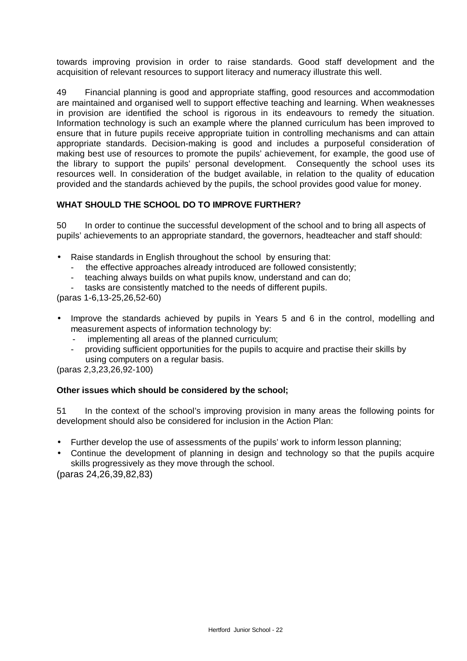towards improving provision in order to raise standards. Good staff development and the acquisition of relevant resources to support literacy and numeracy illustrate this well.

49 Financial planning is good and appropriate staffing, good resources and accommodation are maintained and organised well to support effective teaching and learning. When weaknesses in provision are identified the school is rigorous in its endeavours to remedy the situation. Information technology is such an example where the planned curriculum has been improved to ensure that in future pupils receive appropriate tuition in controlling mechanisms and can attain appropriate standards. Decision-making is good and includes a purposeful consideration of making best use of resources to promote the pupils' achievement, for example, the good use of the library to support the pupils' personal development. Consequently the school uses its resources well. In consideration of the budget available, in relation to the quality of education provided and the standards achieved by the pupils, the school provides good value for money.

# **WHAT SHOULD THE SCHOOL DO TO IMPROVE FURTHER?**

50 In order to continue the successful development of the school and to bring all aspects of pupils' achievements to an appropriate standard, the governors, headteacher and staff should:

- Raise standards in English throughout the school by ensuring that:
	- the effective approaches already introduced are followed consistently;
	- teaching always builds on what pupils know, understand and can do:
	- tasks are consistently matched to the needs of different pupils.

(paras 1-6,13-25,26,52-60)

- Improve the standards achieved by pupils in Years 5 and 6 in the control, modelling and measurement aspects of information technology by:
	- implementing all areas of the planned curriculum;
	- providing sufficient opportunities for the pupils to acquire and practise their skills by using computers on a regular basis.

(paras 2,3,23,26,92-100)

## **Other issues which should be considered by the school;**

51 In the context of the school's improving provision in many areas the following points for development should also be considered for inclusion in the Action Plan:

- Further develop the use of assessments of the pupils' work to inform lesson planning;
- Continue the development of planning in design and technology so that the pupils acquire skills progressively as they move through the school.

(paras 24,26,39,82,83)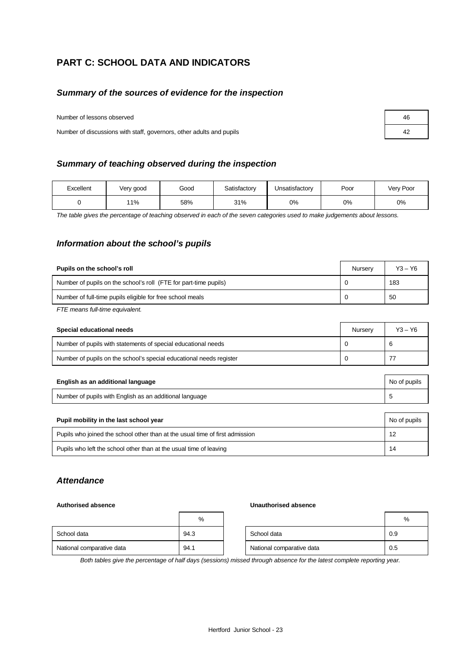# **PART C: SCHOOL DATA AND INDICATORS**

## *Summary of the sources of evidence for the inspection*

Number of lessons observed

Number of discussions with staff, governors, other adults and pupils

#### *Summary of teaching observed during the inspection*

| Excellent | Very good | Good | Satisfactory | Unsatisfactory | Poor | Very Poor |
|-----------|-----------|------|--------------|----------------|------|-----------|
|           | 11%       | 58%  | 31%          | 0%             | 0%   | 0%        |

*The table gives the percentage of teaching observed in each of the seven categories used to make judgements about lessons.*

#### *Information about the school's pupils*

| Pupils on the school's roll                                      |  | $Y3 - Y6$ |
|------------------------------------------------------------------|--|-----------|
| Number of pupils on the school's roll (FTE for part-time pupils) |  | 183       |
| Number of full-time pupils eligible for free school meals        |  | 50        |
|                                                                  |  |           |

*FTE means full-time equivalent.*

| Special educational needs                                           |  | $Y3 - Y6$ |
|---------------------------------------------------------------------|--|-----------|
| Number of pupils with statements of special educational needs       |  | 6         |
| Number of pupils on the school's special educational needs register |  |           |

| English as an additional language                       |  |
|---------------------------------------------------------|--|
| Number of pupils with English as an additional language |  |

| Pupil mobility in the last school year                                       |    |  |
|------------------------------------------------------------------------------|----|--|
| Pupils who joined the school other than at the usual time of first admission | 12 |  |
| Pupils who left the school other than at the usual time of leaving           | 14 |  |

#### *Attendance*

#### **Authorised absence Unauthorised absence**

|                           | %    |                           | %   |
|---------------------------|------|---------------------------|-----|
| School data               | 94.3 | School data               | 0.9 |
| National comparative data | 94.1 | National comparative data | 0.5 |

*Both tables give the percentage of half days (sessions) missed through absence for the latest complete reporting year.*

| 46 |  |
|----|--|
| 42 |  |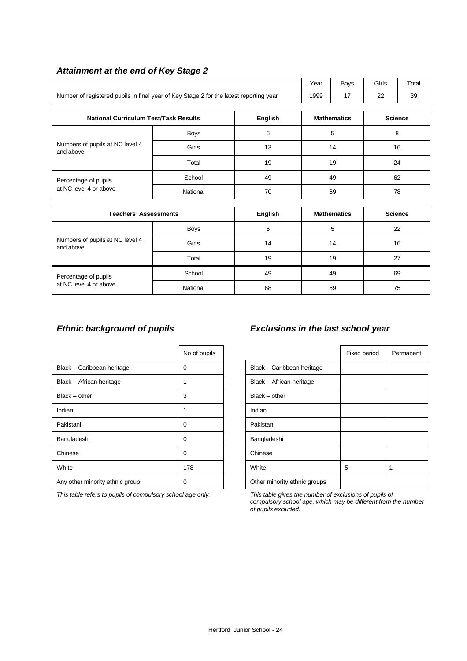|                                                                                        |                |                | Year               | <b>Boys</b>        | Girls          | Total          |  |
|----------------------------------------------------------------------------------------|----------------|----------------|--------------------|--------------------|----------------|----------------|--|
|                                                                                        |                |                |                    |                    |                |                |  |
| Number of registered pupils in final year of Key Stage 2 for the latest reporting year | 1999           | 17             | 22                 | 39                 |                |                |  |
|                                                                                        |                |                |                    |                    |                |                |  |
| <b>National Curriculum Test/Task Results</b>                                           | <b>English</b> |                | <b>Mathematics</b> |                    | <b>Science</b> |                |  |
|                                                                                        | Boys           | 6              |                    | 5                  | 8              |                |  |
| Numbers of pupils at NC level 4<br>and above                                           | Girls          | 13             |                    | 14                 | 16             |                |  |
|                                                                                        | Total          | 19             |                    | 19                 | 24             |                |  |
| Percentage of pupils                                                                   | School         | 49             | 49                 |                    | 62             |                |  |
| at NC level 4 or above                                                                 | National       | 70             |                    | 69                 |                | 78             |  |
|                                                                                        |                |                |                    |                    |                |                |  |
| <b>Teachers' Assessments</b>                                                           |                | <b>English</b> |                    | <b>Mathematics</b> |                | <b>Science</b> |  |
|                                                                                        | <b>Boys</b>    | 5              |                    | 5                  |                | 22             |  |
| Numbers of pupils at NC level 4<br>and above                                           | Girls          | 14             |                    | 14<br>16           |                |                |  |
|                                                                                        | Total          | 19             | 19<br>27           |                    |                |                |  |
| Percentage of pupils                                                                   | School         | 49<br>49       |                    |                    | 69             |                |  |
| at NC level 4 or above                                                                 | National       | 68             |                    | 69                 | 75             |                |  |

## *Attainment at the end of Key Stage 2*

|                                 | No of pupils |                              | Fixed period |  |
|---------------------------------|--------------|------------------------------|--------------|--|
| Black - Caribbean heritage      | 0            | Black - Caribbean heritage   |              |  |
| Black - African heritage        |              | Black - African heritage     |              |  |
| $Black - other$                 | 3            | $Black - other$              |              |  |
| Indian                          |              | Indian                       |              |  |
| Pakistani                       | 0            | Pakistani                    |              |  |
| Bangladeshi                     | 0            | Bangladeshi                  |              |  |
| Chinese                         | 0            | Chinese                      |              |  |
| White                           | 178          | White                        | 5            |  |
| Any other minority ethnic group | 0            | Other minority ethnic groups |              |  |

*This table refers to pupils of compulsory school age only. This table gives the number of exclusions of pupils of*

# *Ethnic background of pupils Exclusions in the last school year*

| No of pupils |                              | Fixed period | Permanent |
|--------------|------------------------------|--------------|-----------|
| 0            | Black - Caribbean heritage   |              |           |
| 1            | Black - African heritage     |              |           |
| 3            | $Black - other$              |              |           |
| 1            | Indian                       |              |           |
| 0            | Pakistani                    |              |           |
| 0            | Bangladeshi                  |              |           |
| 0            | Chinese                      |              |           |
| 178          | White                        | 5            | 1         |
| 0            | Other minority ethnic groups |              |           |

*compulsory school age, which may be different from the number of pupils excluded.*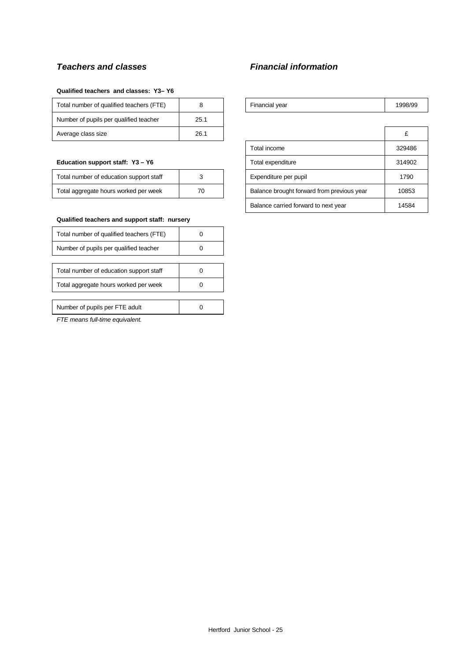# *Teachers and classes Financial information*

#### **Qualified teachers and classes: Y3– Y6**

| Total number of qualified teachers (FTE) |      | Financial year | 1998 |
|------------------------------------------|------|----------------|------|
| Number of pupils per qualified teacher   | 25.1 |                |      |
| Average class size                       | 26.1 |                |      |

#### **Education support staff: Y3 - Y6**

| Total number of education support staff |    |
|-----------------------------------------|----|
| Total aggregate hours worked per week   | 70 |

#### **Qualified teachers and support staff: nursery**

| Total number of qualified teachers (FTE) |  |
|------------------------------------------|--|
| Number of pupils per qualified teacher   |  |
|                                          |  |
| Total number of education support staff  |  |
| Total aggregate hours worked per week    |  |
|                                          |  |
| Number of pupils per FTE adult           |  |

*FTE means full-time equivalent.*

| Total number of qualified teachers (FTE)<br>rinancial vear | 998/99 |
|------------------------------------------------------------|--------|
|------------------------------------------------------------|--------|

| Average class size                           | 26.1 |                       |                                            | £      |
|----------------------------------------------|------|-----------------------|--------------------------------------------|--------|
|                                              |      |                       | Total income                               | 329486 |
| Education support staff: Y3 - Y6             |      |                       | Total expenditure                          | 314902 |
| Total number of education support staff<br>3 |      | Expenditure per pupil | 1790                                       |        |
| Total aggregate hours worked per week<br>70  |      |                       | Balance brought forward from previous year | 10853  |
|                                              |      |                       | Balance carried forward to next year       | 14584  |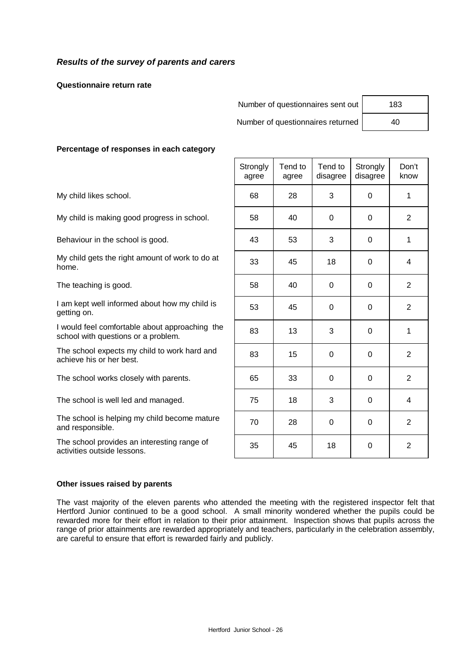## *Results of the survey of parents and carers*

**Questionnaire return rate**

| Number of questionnaires sent out | 183 |
|-----------------------------------|-----|
| Number of questionnaires returned | 40  |

#### **Percentage of responses in each category**

|                                                                                       | Strongly<br>agree | Tend to<br>agree | Tend to<br>disagree | Strongly<br>disagree | Don't<br>know  |
|---------------------------------------------------------------------------------------|-------------------|------------------|---------------------|----------------------|----------------|
| My child likes school.                                                                | 68                | 28               | 3                   | $\Omega$             | 1              |
| My child is making good progress in school.                                           | 58                | 40               | 0                   | 0                    | 2              |
| Behaviour in the school is good.                                                      | 43                | 53               | 3                   | 0                    | 1              |
| My child gets the right amount of work to do at<br>home.                              | 33                | 45               | 18                  | $\Omega$             | 4              |
| The teaching is good.                                                                 | 58                | 40               | 0                   | $\Omega$             | $\overline{2}$ |
| I am kept well informed about how my child is<br>getting on.                          | 53                | 45               | 0                   | $\Omega$             | $\overline{2}$ |
| I would feel comfortable about approaching the<br>school with questions or a problem. | 83                | 13               | 3                   | $\Omega$             | 1              |
| The school expects my child to work hard and<br>achieve his or her best.              | 83                | 15               | $\Omega$            | $\Omega$             | 2              |
| The school works closely with parents.                                                | 65                | 33               | $\mathbf 0$         | $\mathbf 0$          | $\overline{2}$ |
| The school is well led and managed.                                                   | 75                | 18               | 3                   | 0                    | 4              |
| The school is helping my child become mature<br>and responsible.                      | 70                | 28               | 0                   | $\mathbf 0$          | $\overline{2}$ |
| The school provides an interesting range of<br>activities outside lessons.            | 35                | 45               | 18                  | 0                    | $\overline{2}$ |

#### **Other issues raised by parents**

The vast majority of the eleven parents who attended the meeting with the registered inspector felt that Hertford Junior continued to be a good school. A small minority wondered whether the pupils could be rewarded more for their effort in relation to their prior attainment. Inspection shows that pupils across the range of prior attainments are rewarded appropriately and teachers, particularly in the celebration assembly, are careful to ensure that effort is rewarded fairly and publicly.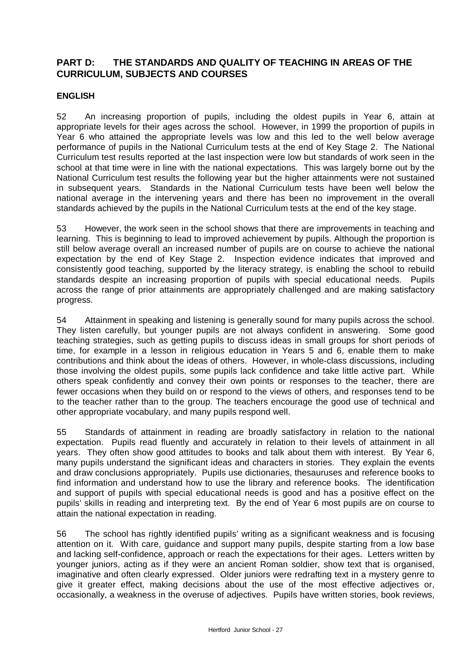# **PART D: THE STANDARDS AND QUALITY OF TEACHING IN AREAS OF THE CURRICULUM, SUBJECTS AND COURSES**

## **ENGLISH**

52 An increasing proportion of pupils, including the oldest pupils in Year 6, attain at appropriate levels for their ages across the school. However, in 1999 the proportion of pupils in Year 6 who attained the appropriate levels was low and this led to the well below average performance of pupils in the National Curriculum tests at the end of Key Stage 2. The National Curriculum test results reported at the last inspection were low but standards of work seen in the school at that time were in line with the national expectations. This was largely borne out by the National Curriculum test results the following year but the higher attainments were not sustained in subsequent years. Standards in the National Curriculum tests have been well below the national average in the intervening years and there has been no improvement in the overall standards achieved by the pupils in the National Curriculum tests at the end of the key stage.

53 However, the work seen in the school shows that there are improvements in teaching and learning. This is beginning to lead to improved achievement by pupils. Although the proportion is still below average overall an increased number of pupils are on course to achieve the national expectation by the end of Key Stage 2. Inspection evidence indicates that improved and consistently good teaching, supported by the literacy strategy, is enabling the school to rebuild standards despite an increasing proportion of pupils with special educational needs. Pupils across the range of prior attainments are appropriately challenged and are making satisfactory progress.

54 Attainment in speaking and listening is generally sound for many pupils across the school. They listen carefully, but younger pupils are not always confident in answering. Some good teaching strategies, such as getting pupils to discuss ideas in small groups for short periods of time, for example in a lesson in religious education in Years 5 and 6, enable them to make contributions and think about the ideas of others. However, in whole-class discussions, including those involving the oldest pupils, some pupils lack confidence and take little active part. While others speak confidently and convey their own points or responses to the teacher, there are fewer occasions when they build on or respond to the views of others, and responses tend to be to the teacher rather than to the group. The teachers encourage the good use of technical and other appropriate vocabulary, and many pupils respond well.

55 Standards of attainment in reading are broadly satisfactory in relation to the national expectation. Pupils read fluently and accurately in relation to their levels of attainment in all years. They often show good attitudes to books and talk about them with interest. By Year 6, many pupils understand the significant ideas and characters in stories. They explain the events and draw conclusions appropriately. Pupils use dictionaries, thesauruses and reference books to find information and understand how to use the library and reference books. The identification and support of pupils with special educational needs is good and has a positive effect on the pupils' skills in reading and interpreting text. By the end of Year 6 most pupils are on course to attain the national expectation in reading.

56 The school has rightly identified pupils' writing as a significant weakness and is focusing attention on it. With care, guidance and support many pupils, despite starting from a low base and lacking self-confidence, approach or reach the expectations for their ages. Letters written by younger juniors, acting as if they were an ancient Roman soldier, show text that is organised, imaginative and often clearly expressed. Older juniors were redrafting text in a mystery genre to give it greater effect, making decisions about the use of the most effective adjectives or, occasionally, a weakness in the overuse of adjectives. Pupils have written stories, book reviews,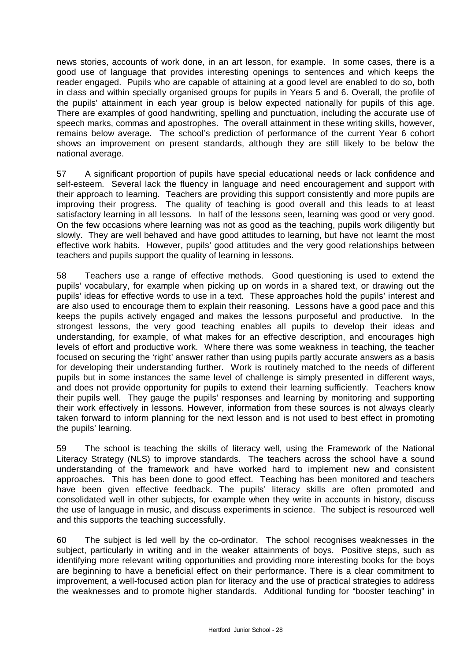news stories, accounts of work done, in an art lesson, for example. In some cases, there is a good use of language that provides interesting openings to sentences and which keeps the reader engaged. Pupils who are capable of attaining at a good level are enabled to do so, both in class and within specially organised groups for pupils in Years 5 and 6. Overall, the profile of the pupils' attainment in each year group is below expected nationally for pupils of this age. There are examples of good handwriting, spelling and punctuation, including the accurate use of speech marks, commas and apostrophes. The overall attainment in these writing skills, however, remains below average. The school's prediction of performance of the current Year 6 cohort shows an improvement on present standards, although they are still likely to be below the national average.

57 A significant proportion of pupils have special educational needs or lack confidence and self-esteem. Several lack the fluency in language and need encouragement and support with their approach to learning. Teachers are providing this support consistently and more pupils are improving their progress. The quality of teaching is good overall and this leads to at least satisfactory learning in all lessons. In half of the lessons seen, learning was good or very good. On the few occasions where learning was not as good as the teaching, pupils work diligently but slowly. They are well behaved and have good attitudes to learning, but have not learnt the most effective work habits. However, pupils' good attitudes and the very good relationships between teachers and pupils support the quality of learning in lessons.

58 Teachers use a range of effective methods. Good questioning is used to extend the pupils' vocabulary, for example when picking up on words in a shared text, or drawing out the pupils' ideas for effective words to use in a text. These approaches hold the pupils' interest and are also used to encourage them to explain their reasoning. Lessons have a good pace and this keeps the pupils actively engaged and makes the lessons purposeful and productive. In the strongest lessons, the very good teaching enables all pupils to develop their ideas and understanding, for example, of what makes for an effective description, and encourages high levels of effort and productive work. Where there was some weakness in teaching, the teacher focused on securing the 'right' answer rather than using pupils partly accurate answers as a basis for developing their understanding further. Work is routinely matched to the needs of different pupils but in some instances the same level of challenge is simply presented in different ways, and does not provide opportunity for pupils to extend their learning sufficiently. Teachers know their pupils well. They gauge the pupils' responses and learning by monitoring and supporting their work effectively in lessons. However, information from these sources is not always clearly taken forward to inform planning for the next lesson and is not used to best effect in promoting the pupils' learning.

59 The school is teaching the skills of literacy well, using the Framework of the National Literacy Strategy (NLS) to improve standards. The teachers across the school have a sound understanding of the framework and have worked hard to implement new and consistent approaches. This has been done to good effect. Teaching has been monitored and teachers have been given effective feedback. The pupils' literacy skills are often promoted and consolidated well in other subjects, for example when they write in accounts in history, discuss the use of language in music, and discuss experiments in science. The subject is resourced well and this supports the teaching successfully.

60 The subject is led well by the co-ordinator. The school recognises weaknesses in the subject, particularly in writing and in the weaker attainments of boys. Positive steps, such as identifying more relevant writing opportunities and providing more interesting books for the boys are beginning to have a beneficial effect on their performance. There is a clear commitment to improvement, a well-focused action plan for literacy and the use of practical strategies to address the weaknesses and to promote higher standards. Additional funding for "booster teaching" in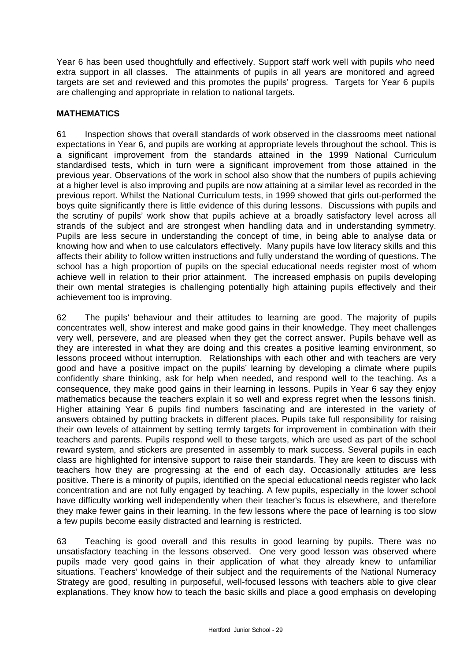Year 6 has been used thoughtfully and effectively. Support staff work well with pupils who need extra support in all classes. The attainments of pupils in all years are monitored and agreed targets are set and reviewed and this promotes the pupils' progress. Targets for Year 6 pupils are challenging and appropriate in relation to national targets.

#### **MATHEMATICS**

61 Inspection shows that overall standards of work observed in the classrooms meet national expectations in Year 6, and pupils are working at appropriate levels throughout the school. This is a significant improvement from the standards attained in the 1999 National Curriculum standardised tests, which in turn were a significant improvement from those attained in the previous year. Observations of the work in school also show that the numbers of pupils achieving at a higher level is also improving and pupils are now attaining at a similar level as recorded in the previous report. Whilst the National Curriculum tests, in 1999 showed that girls out-performed the boys quite significantly there is little evidence of this during lessons. Discussions with pupils and the scrutiny of pupils' work show that pupils achieve at a broadly satisfactory level across all strands of the subject and are strongest when handling data and in understanding symmetry. Pupils are less secure in understanding the concept of time, in being able to analyse data or knowing how and when to use calculators effectively. Many pupils have low literacy skills and this affects their ability to follow written instructions and fully understand the wording of questions. The school has a high proportion of pupils on the special educational needs register most of whom achieve well in relation to their prior attainment. The increased emphasis on pupils developing their own mental strategies is challenging potentially high attaining pupils effectively and their achievement too is improving.

62 The pupils' behaviour and their attitudes to learning are good. The majority of pupils concentrates well, show interest and make good gains in their knowledge. They meet challenges very well, persevere, and are pleased when they get the correct answer. Pupils behave well as they are interested in what they are doing and this creates a positive learning environment, so lessons proceed without interruption. Relationships with each other and with teachers are very good and have a positive impact on the pupils' learning by developing a climate where pupils confidently share thinking, ask for help when needed, and respond well to the teaching. As a consequence, they make good gains in their learning in lessons. Pupils in Year 6 say they enjoy mathematics because the teachers explain it so well and express regret when the lessons finish. Higher attaining Year 6 pupils find numbers fascinating and are interested in the variety of answers obtained by putting brackets in different places. Pupils take full responsibility for raising their own levels of attainment by setting termly targets for improvement in combination with their teachers and parents. Pupils respond well to these targets, which are used as part of the school reward system, and stickers are presented in assembly to mark success. Several pupils in each class are highlighted for intensive support to raise their standards. They are keen to discuss with teachers how they are progressing at the end of each day. Occasionally attitudes are less positive. There is a minority of pupils, identified on the special educational needs register who lack concentration and are not fully engaged by teaching. A few pupils, especially in the lower school have difficulty working well independently when their teacher's focus is elsewhere, and therefore they make fewer gains in their learning. In the few lessons where the pace of learning is too slow a few pupils become easily distracted and learning is restricted.

63 Teaching is good overall and this results in good learning by pupils. There was no unsatisfactory teaching in the lessons observed. One very good lesson was observed where pupils made very good gains in their application of what they already knew to unfamiliar situations. Teachers' knowledge of their subject and the requirements of the National Numeracy Strategy are good, resulting in purposeful, well-focused lessons with teachers able to give clear explanations. They know how to teach the basic skills and place a good emphasis on developing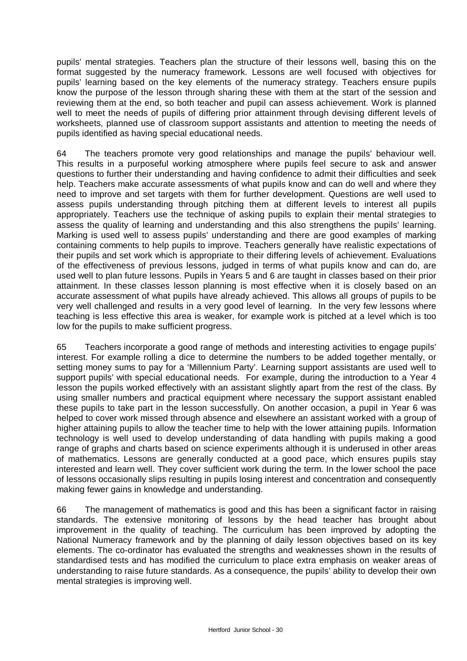pupils' mental strategies. Teachers plan the structure of their lessons well, basing this on the format suggested by the numeracy framework. Lessons are well focused with objectives for pupils' learning based on the key elements of the numeracy strategy. Teachers ensure pupils know the purpose of the lesson through sharing these with them at the start of the session and reviewing them at the end, so both teacher and pupil can assess achievement. Work is planned well to meet the needs of pupils of differing prior attainment through devising different levels of worksheets, planned use of classroom support assistants and attention to meeting the needs of pupils identified as having special educational needs.

64 The teachers promote very good relationships and manage the pupils' behaviour well. This results in a purposeful working atmosphere where pupils feel secure to ask and answer questions to further their understanding and having confidence to admit their difficulties and seek help. Teachers make accurate assessments of what pupils know and can do well and where they need to improve and set targets with them for further development. Questions are well used to assess pupils understanding through pitching them at different levels to interest all pupils appropriately. Teachers use the technique of asking pupils to explain their mental strategies to assess the quality of learning and understanding and this also strengthens the pupils' learning. Marking is used well to assess pupils' understanding and there are good examples of marking containing comments to help pupils to improve. Teachers generally have realistic expectations of their pupils and set work which is appropriate to their differing levels of achievement. Evaluations of the effectiveness of previous lessons, judged in terms of what pupils know and can do, are used well to plan future lessons. Pupils in Years 5 and 6 are taught in classes based on their prior attainment. In these classes lesson planning is most effective when it is closely based on an accurate assessment of what pupils have already achieved. This allows all groups of pupils to be very well challenged and results in a very good level of learning. In the very few lessons where teaching is less effective this area is weaker, for example work is pitched at a level which is too low for the pupils to make sufficient progress.

65 Teachers incorporate a good range of methods and interesting activities to engage pupils' interest. For example rolling a dice to determine the numbers to be added together mentally, or setting money sums to pay for a 'Millennium Party'. Learning support assistants are used well to support pupils' with special educational needs. For example, during the introduction to a Year 4 lesson the pupils worked effectively with an assistant slightly apart from the rest of the class. By using smaller numbers and practical equipment where necessary the support assistant enabled these pupils to take part in the lesson successfully. On another occasion, a pupil in Year 6 was helped to cover work missed through absence and elsewhere an assistant worked with a group of higher attaining pupils to allow the teacher time to help with the lower attaining pupils. Information technology is well used to develop understanding of data handling with pupils making a good range of graphs and charts based on science experiments although it is underused in other areas of mathematics. Lessons are generally conducted at a good pace, which ensures pupils stay interested and learn well. They cover sufficient work during the term. In the lower school the pace of lessons occasionally slips resulting in pupils losing interest and concentration and consequently making fewer gains in knowledge and understanding.

66 The management of mathematics is good and this has been a significant factor in raising standards. The extensive monitoring of lessons by the head teacher has brought about improvement in the quality of teaching. The curriculum has been improved by adopting the National Numeracy framework and by the planning of daily lesson objectives based on its key elements. The co-ordinator has evaluated the strengths and weaknesses shown in the results of standardised tests and has modified the curriculum to place extra emphasis on weaker areas of understanding to raise future standards. As a consequence, the pupils' ability to develop their own mental strategies is improving well.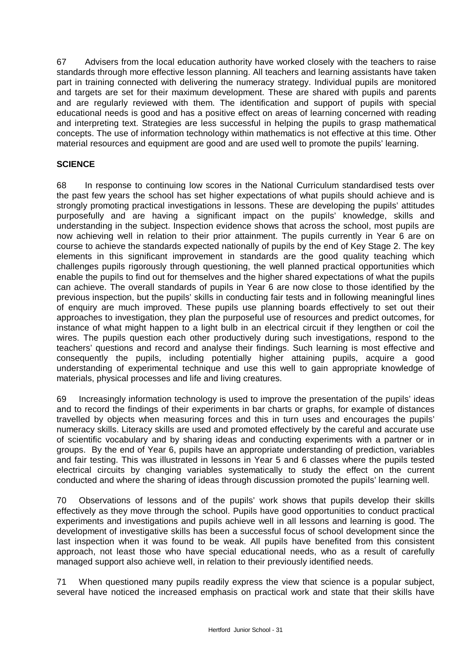67 Advisers from the local education authority have worked closely with the teachers to raise standards through more effective lesson planning. All teachers and learning assistants have taken part in training connected with delivering the numeracy strategy. Individual pupils are monitored and targets are set for their maximum development. These are shared with pupils and parents and are regularly reviewed with them. The identification and support of pupils with special educational needs is good and has a positive effect on areas of learning concerned with reading and interpreting text. Strategies are less successful in helping the pupils to grasp mathematical concepts. The use of information technology within mathematics is not effective at this time. Other material resources and equipment are good and are used well to promote the pupils' learning.

## **SCIENCE**

68 In response to continuing low scores in the National Curriculum standardised tests over the past few years the school has set higher expectations of what pupils should achieve and is strongly promoting practical investigations in lessons. These are developing the pupils' attitudes purposefully and are having a significant impact on the pupils' knowledge, skills and understanding in the subject. Inspection evidence shows that across the school, most pupils are now achieving well in relation to their prior attainment. The pupils currently in Year 6 are on course to achieve the standards expected nationally of pupils by the end of Key Stage 2. The key elements in this significant improvement in standards are the good quality teaching which challenges pupils rigorously through questioning, the well planned practical opportunities which enable the pupils to find out for themselves and the higher shared expectations of what the pupils can achieve. The overall standards of pupils in Year 6 are now close to those identified by the previous inspection, but the pupils' skills in conducting fair tests and in following meaningful lines of enquiry are much improved. These pupils use planning boards effectively to set out their approaches to investigation, they plan the purposeful use of resources and predict outcomes, for instance of what might happen to a light bulb in an electrical circuit if they lengthen or coil the wires. The pupils question each other productively during such investigations, respond to the teachers' questions and record and analyse their findings. Such learning is most effective and consequently the pupils, including potentially higher attaining pupils, acquire a good understanding of experimental technique and use this well to gain appropriate knowledge of materials, physical processes and life and living creatures.

69 Increasingly information technology is used to improve the presentation of the pupils' ideas and to record the findings of their experiments in bar charts or graphs, for example of distances travelled by objects when measuring forces and this in turn uses and encourages the pupils' numeracy skills. Literacy skills are used and promoted effectively by the careful and accurate use of scientific vocabulary and by sharing ideas and conducting experiments with a partner or in groups. By the end of Year 6, pupils have an appropriate understanding of prediction, variables and fair testing. This was illustrated in lessons in Year 5 and 6 classes where the pupils tested electrical circuits by changing variables systematically to study the effect on the current conducted and where the sharing of ideas through discussion promoted the pupils' learning well.

70 Observations of lessons and of the pupils' work shows that pupils develop their skills effectively as they move through the school. Pupils have good opportunities to conduct practical experiments and investigations and pupils achieve well in all lessons and learning is good. The development of investigative skills has been a successful focus of school development since the last inspection when it was found to be weak. All pupils have benefited from this consistent approach, not least those who have special educational needs, who as a result of carefully managed support also achieve well, in relation to their previously identified needs.

71 When questioned many pupils readily express the view that science is a popular subject, several have noticed the increased emphasis on practical work and state that their skills have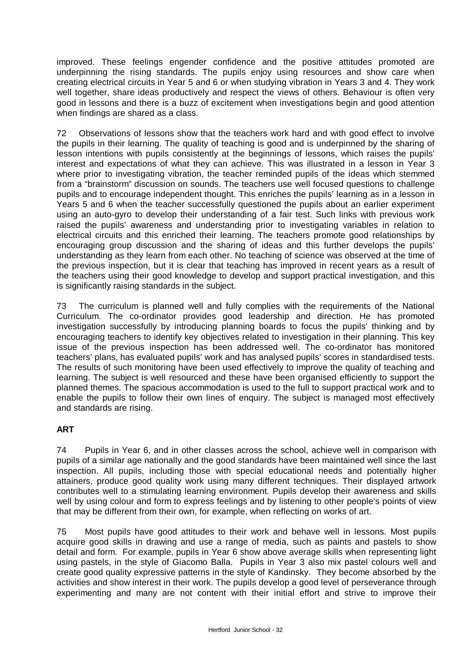improved. These feelings engender confidence and the positive attitudes promoted are underpinning the rising standards. The pupils enjoy using resources and show care when creating electrical circuits in Year 5 and 6 or when studying vibration in Years 3 and 4. They work well together, share ideas productively and respect the views of others. Behaviour is often very good in lessons and there is a buzz of excitement when investigations begin and good attention when findings are shared as a class.

72 Observations of lessons show that the teachers work hard and with good effect to involve the pupils in their learning. The quality of teaching is good and is underpinned by the sharing of lesson intentions with pupils consistently at the beginnings of lessons, which raises the pupils' interest and expectations of what they can achieve. This was illustrated in a lesson in Year 3 where prior to investigating vibration, the teacher reminded pupils of the ideas which stemmed from a "brainstorm" discussion on sounds. The teachers use well focused questions to challenge pupils and to encourage independent thought. This enriches the pupils' learning as in a lesson in Years 5 and 6 when the teacher successfully questioned the pupils about an earlier experiment using an auto-gyro to develop their understanding of a fair test. Such links with previous work raised the pupils' awareness and understanding prior to investigating variables in relation to electrical circuits and this enriched their learning. The teachers promote good relationships by encouraging group discussion and the sharing of ideas and this further develops the pupils' understanding as they learn from each other. No teaching of science was observed at the time of the previous inspection, but it is clear that teaching has improved in recent years as a result of the teachers using their good knowledge to develop and support practical investigation, and this is significantly raising standards in the subject.

73 The curriculum is planned well and fully complies with the requirements of the National Curriculum. The co-ordinator provides good leadership and direction. He has promoted investigation successfully by introducing planning boards to focus the pupils' thinking and by encouraging teachers to identify key objectives related to investigation in their planning. This key issue of the previous inspection has been addressed well. The co-ordinator has monitored teachers' plans, has evaluated pupils' work and has analysed pupils' scores in standardised tests. The results of such monitoring have been used effectively to improve the quality of teaching and learning. The subject is well resourced and these have been organised efficiently to support the planned themes. The spacious accommodation is used to the full to support practical work and to enable the pupils to follow their own lines of enquiry. The subject is managed most effectively and standards are rising.

# **ART**

74 Pupils in Year 6, and in other classes across the school, achieve well in comparison with pupils of a similar age nationally and the good standards have been maintained well since the last inspection. All pupils, including those with special educational needs and potentially higher attainers, produce good quality work using many different techniques. Their displayed artwork contributes well to a stimulating learning environment. Pupils develop their awareness and skills well by using colour and form to express feelings and by listening to other people's points of view that may be different from their own, for example, when reflecting on works of art.

75 Most pupils have good attitudes to their work and behave well in lessons. Most pupils acquire good skills in drawing and use a range of media, such as paints and pastels to show detail and form. For example, pupils in Year 6 show above average skills when representing light using pastels, in the style of Giacomo Balla. Pupils in Year 3 also mix pastel colours well and create good quality expressive patterns in the style of Kandinsky. They become absorbed by the activities and show interest in their work. The pupils develop a good level of perseverance through experimenting and many are not content with their initial effort and strive to improve their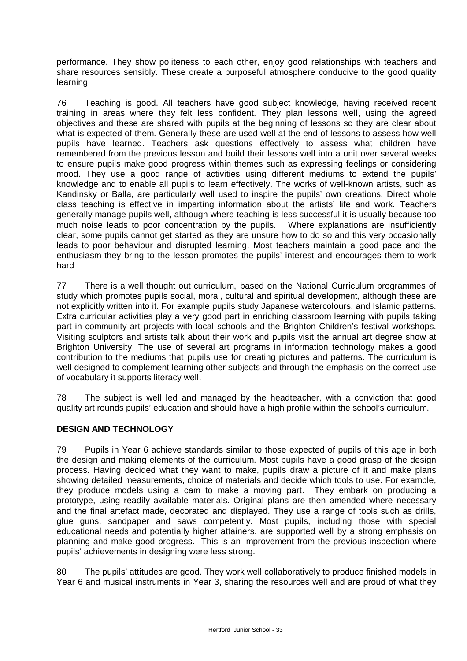performance. They show politeness to each other, enjoy good relationships with teachers and share resources sensibly. These create a purposeful atmosphere conducive to the good quality learning.

76 Teaching is good. All teachers have good subject knowledge, having received recent training in areas where they felt less confident. They plan lessons well, using the agreed objectives and these are shared with pupils at the beginning of lessons so they are clear about what is expected of them. Generally these are used well at the end of lessons to assess how well pupils have learned. Teachers ask questions effectively to assess what children have remembered from the previous lesson and build their lessons well into a unit over several weeks to ensure pupils make good progress within themes such as expressing feelings or considering mood. They use a good range of activities using different mediums to extend the pupils' knowledge and to enable all pupils to learn effectively. The works of well-known artists, such as Kandinsky or Balla, are particularly well used to inspire the pupils' own creations. Direct whole class teaching is effective in imparting information about the artists' life and work. Teachers generally manage pupils well, although where teaching is less successful it is usually because too much noise leads to poor concentration by the pupils. Where explanations are insufficiently clear, some pupils cannot get started as they are unsure how to do so and this very occasionally leads to poor behaviour and disrupted learning. Most teachers maintain a good pace and the enthusiasm they bring to the lesson promotes the pupils' interest and encourages them to work hard

77 There is a well thought out curriculum, based on the National Curriculum programmes of study which promotes pupils social, moral, cultural and spiritual development, although these are not explicitly written into it. For example pupils study Japanese watercolours, and Islamic patterns. Extra curricular activities play a very good part in enriching classroom learning with pupils taking part in community art projects with local schools and the Brighton Children's festival workshops. Visiting sculptors and artists talk about their work and pupils visit the annual art degree show at Brighton University. The use of several art programs in information technology makes a good contribution to the mediums that pupils use for creating pictures and patterns. The curriculum is well designed to complement learning other subjects and through the emphasis on the correct use of vocabulary it supports literacy well.

78 The subject is well led and managed by the headteacher, with a conviction that good quality art rounds pupils' education and should have a high profile within the school's curriculum.

## **DESIGN AND TECHNOLOGY**

79 Pupils in Year 6 achieve standards similar to those expected of pupils of this age in both the design and making elements of the curriculum. Most pupils have a good grasp of the design process. Having decided what they want to make, pupils draw a picture of it and make plans showing detailed measurements, choice of materials and decide which tools to use. For example, they produce models using a cam to make a moving part. They embark on producing a prototype, using readily available materials. Original plans are then amended where necessary and the final artefact made, decorated and displayed. They use a range of tools such as drills, glue guns, sandpaper and saws competently. Most pupils, including those with special educational needs and potentially higher attainers, are supported well by a strong emphasis on planning and make good progress. This is an improvement from the previous inspection where pupils' achievements in designing were less strong.

80 The pupils' attitudes are good. They work well collaboratively to produce finished models in Year 6 and musical instruments in Year 3, sharing the resources well and are proud of what they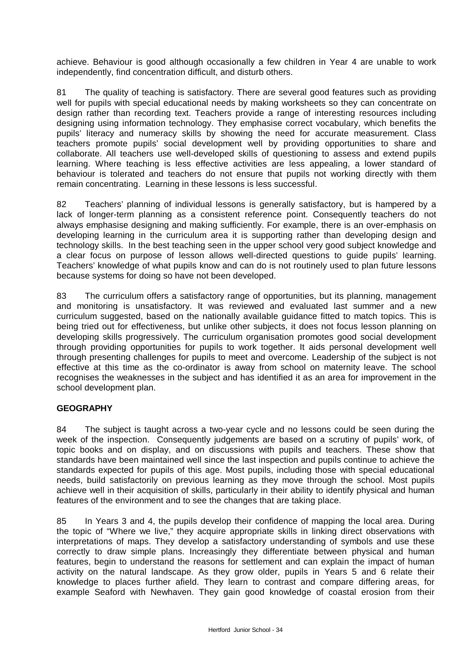achieve. Behaviour is good although occasionally a few children in Year 4 are unable to work independently, find concentration difficult, and disturb others.

81 The quality of teaching is satisfactory. There are several good features such as providing well for pupils with special educational needs by making worksheets so they can concentrate on design rather than recording text. Teachers provide a range of interesting resources including designing using information technology. They emphasise correct vocabulary, which benefits the pupils' literacy and numeracy skills by showing the need for accurate measurement. Class teachers promote pupils' social development well by providing opportunities to share and collaborate. All teachers use well-developed skills of questioning to assess and extend pupils learning. Where teaching is less effective activities are less appealing, a lower standard of behaviour is tolerated and teachers do not ensure that pupils not working directly with them remain concentrating. Learning in these lessons is less successful.

82 Teachers' planning of individual lessons is generally satisfactory, but is hampered by a lack of longer-term planning as a consistent reference point. Consequently teachers do not always emphasise designing and making sufficiently. For example, there is an over-emphasis on developing learning in the curriculum area it is supporting rather than developing design and technology skills. In the best teaching seen in the upper school very good subject knowledge and a clear focus on purpose of lesson allows well-directed questions to guide pupils' learning. Teachers' knowledge of what pupils know and can do is not routinely used to plan future lessons because systems for doing so have not been developed.

83 The curriculum offers a satisfactory range of opportunities, but its planning, management and monitoring is unsatisfactory. It was reviewed and evaluated last summer and a new curriculum suggested, based on the nationally available guidance fitted to match topics. This is being tried out for effectiveness, but unlike other subjects, it does not focus lesson planning on developing skills progressively. The curriculum organisation promotes good social development through providing opportunities for pupils to work together. It aids personal development well through presenting challenges for pupils to meet and overcome. Leadership of the subject is not effective at this time as the co-ordinator is away from school on maternity leave. The school recognises the weaknesses in the subject and has identified it as an area for improvement in the school development plan.

## **GEOGRAPHY**

84 The subject is taught across a two-year cycle and no lessons could be seen during the week of the inspection. Consequently judgements are based on a scrutiny of pupils' work, of topic books and on display, and on discussions with pupils and teachers. These show that standards have been maintained well since the last inspection and pupils continue to achieve the standards expected for pupils of this age. Most pupils, including those with special educational needs, build satisfactorily on previous learning as they move through the school. Most pupils achieve well in their acquisition of skills, particularly in their ability to identify physical and human features of the environment and to see the changes that are taking place.

85 In Years 3 and 4, the pupils develop their confidence of mapping the local area. During the topic of "Where we live," they acquire appropriate skills in linking direct observations with interpretations of maps. They develop a satisfactory understanding of symbols and use these correctly to draw simple plans. Increasingly they differentiate between physical and human features, begin to understand the reasons for settlement and can explain the impact of human activity on the natural landscape. As they grow older, pupils in Years 5 and 6 relate their knowledge to places further afield. They learn to contrast and compare differing areas, for example Seaford with Newhaven. They gain good knowledge of coastal erosion from their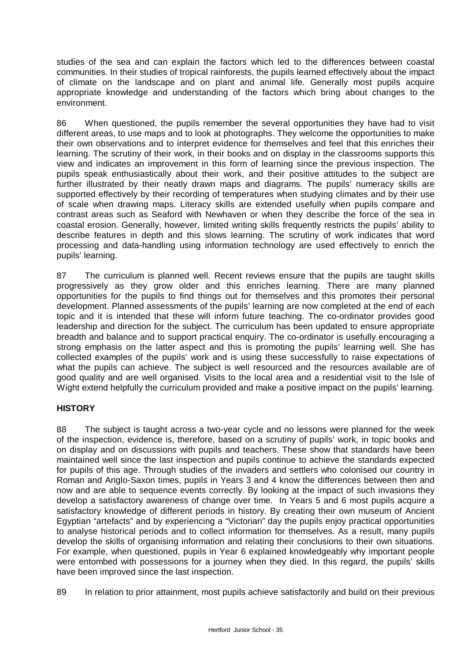studies of the sea and can explain the factors which led to the differences between coastal communities. In their studies of tropical rainforests, the pupils learned effectively about the impact of climate on the landscape and on plant and animal life. Generally most pupils acquire appropriate knowledge and understanding of the factors which bring about changes to the environment.

86 When questioned, the pupils remember the several opportunities they have had to visit different areas, to use maps and to look at photographs. They welcome the opportunities to make their own observations and to interpret evidence for themselves and feel that this enriches their learning. The scrutiny of their work, in their books and on display in the classrooms supports this view and indicates an improvement in this form of learning since the previous inspection. The pupils speak enthusiastically about their work, and their positive attitudes to the subject are further illustrated by their neatly drawn maps and diagrams. The pupils' numeracy skills are supported effectively by their recording of temperatures when studying climates and by their use of scale when drawing maps. Literacy skills are extended usefully when pupils compare and contrast areas such as Seaford with Newhaven or when they describe the force of the sea in coastal erosion. Generally, however, limited writing skills frequently restricts the pupils' ability to describe features in depth and this slows learning. The scrutiny of work indicates that word processing and data-handling using information technology are used effectively to enrich the pupils' learning.

87 The curriculum is planned well. Recent reviews ensure that the pupils are taught skills progressively as they grow older and this enriches learning. There are many planned opportunities for the pupils to find things out for themselves and this promotes their personal development. Planned assessments of the pupils' learning are now completed at the end of each topic and it is intended that these will inform future teaching. The co-ordinator provides good leadership and direction for the subject. The curriculum has been updated to ensure appropriate breadth and balance and to support practical enquiry. The co-ordinator is usefully encouraging a strong emphasis on the latter aspect and this is promoting the pupils' learning well. She has collected examples of the pupils' work and is using these successfully to raise expectations of what the pupils can achieve. The subject is well resourced and the resources available are of good quality and are well organised. Visits to the local area and a residential visit to the Isle of Wight extend helpfully the curriculum provided and make a positive impact on the pupils' learning.

## **HISTORY**

88 The subject is taught across a two-year cycle and no lessons were planned for the week of the inspection, evidence is, therefore, based on a scrutiny of pupils' work, in topic books and on display and on discussions with pupils and teachers. These show that standards have been maintained well since the last inspection and pupils continue to achieve the standards expected for pupils of this age. Through studies of the invaders and settlers who colonised our country in Roman and Anglo-Saxon times, pupils in Years 3 and 4 know the differences between then and now and are able to sequence events correctly. By looking at the impact of such invasions they develop a satisfactory awareness of change over time. In Years 5 and 6 most pupils acquire a satisfactory knowledge of different periods in history. By creating their own museum of Ancient Egyptian "artefacts" and by experiencing a "Victorian" day the pupils enjoy practical opportunities to analyse historical periods and to collect information for themselves. As a result, many pupils develop the skills of organising information and relating their conclusions to their own situations. For example, when questioned, pupils in Year 6 explained knowledgeably why important people were entombed with possessions for a journey when they died. In this regard, the pupils' skills have been improved since the last inspection.

89 In relation to prior attainment, most pupils achieve satisfactorily and build on their previous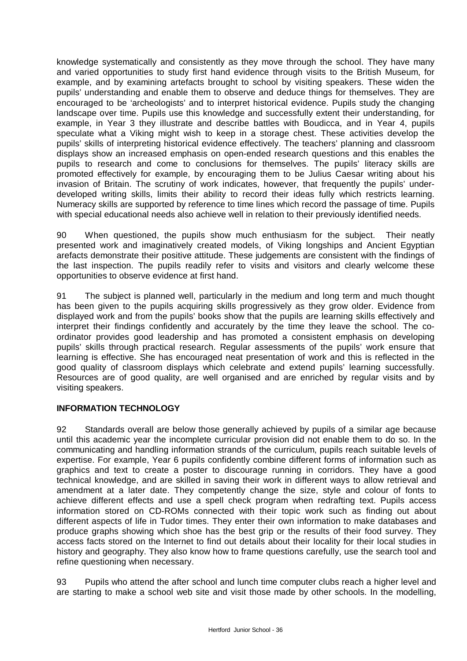knowledge systematically and consistently as they move through the school. They have many and varied opportunities to study first hand evidence through visits to the British Museum, for example, and by examining artefacts brought to school by visiting speakers. These widen the pupils' understanding and enable them to observe and deduce things for themselves. They are encouraged to be 'archeologists' and to interpret historical evidence. Pupils study the changing landscape over time. Pupils use this knowledge and successfully extent their understanding, for example, in Year 3 they illustrate and describe battles with Boudicca, and in Year 4, pupils speculate what a Viking might wish to keep in a storage chest. These activities develop the pupils' skills of interpreting historical evidence effectively. The teachers' planning and classroom displays show an increased emphasis on open-ended research questions and this enables the pupils to research and come to conclusions for themselves. The pupils' literacy skills are promoted effectively for example, by encouraging them to be Julius Caesar writing about his invasion of Britain. The scrutiny of work indicates, however, that frequently the pupils' underdeveloped writing skills, limits their ability to record their ideas fully which restricts learning. Numeracy skills are supported by reference to time lines which record the passage of time. Pupils with special educational needs also achieve well in relation to their previously identified needs.

90 When questioned, the pupils show much enthusiasm for the subject. Their neatly presented work and imaginatively created models, of Viking longships and Ancient Egyptian arefacts demonstrate their positive attitude. These judgements are consistent with the findings of the last inspection. The pupils readily refer to visits and visitors and clearly welcome these opportunities to observe evidence at first hand.

91 The subject is planned well, particularly in the medium and long term and much thought has been given to the pupils acquiring skills progressively as they grow older. Evidence from displayed work and from the pupils' books show that the pupils are learning skills effectively and interpret their findings confidently and accurately by the time they leave the school. The coordinator provides good leadership and has promoted a consistent emphasis on developing pupils' skills through practical research. Regular assessments of the pupils' work ensure that learning is effective. She has encouraged neat presentation of work and this is reflected in the good quality of classroom displays which celebrate and extend pupils' learning successfully. Resources are of good quality, are well organised and are enriched by regular visits and by visiting speakers.

## **INFORMATION TECHNOLOGY**

92 Standards overall are below those generally achieved by pupils of a similar age because until this academic year the incomplete curricular provision did not enable them to do so. In the communicating and handling information strands of the curriculum, pupils reach suitable levels of expertise. For example, Year 6 pupils confidently combine different forms of information such as graphics and text to create a poster to discourage running in corridors. They have a good technical knowledge, and are skilled in saving their work in different ways to allow retrieval and amendment at a later date. They competently change the size, style and colour of fonts to achieve different effects and use a spell check program when redrafting text. Pupils access information stored on CD-ROMs connected with their topic work such as finding out about different aspects of life in Tudor times. They enter their own information to make databases and produce graphs showing which shoe has the best grip or the results of their food survey. They access facts stored on the Internet to find out details about their locality for their local studies in history and geography. They also know how to frame questions carefully, use the search tool and refine questioning when necessary.

93 Pupils who attend the after school and lunch time computer clubs reach a higher level and are starting to make a school web site and visit those made by other schools. In the modelling,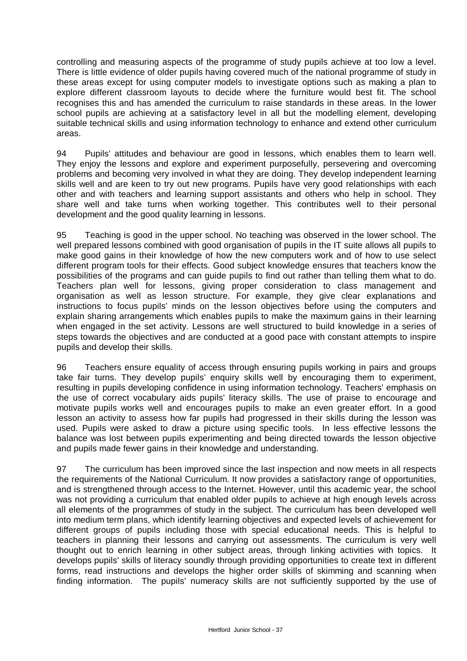controlling and measuring aspects of the programme of study pupils achieve at too low a level. There is little evidence of older pupils having covered much of the national programme of study in these areas except for using computer models to investigate options such as making a plan to explore different classroom layouts to decide where the furniture would best fit. The school recognises this and has amended the curriculum to raise standards in these areas. In the lower school pupils are achieving at a satisfactory level in all but the modelling element, developing suitable technical skills and using information technology to enhance and extend other curriculum areas.

94 Pupils' attitudes and behaviour are good in lessons, which enables them to learn well. They enjoy the lessons and explore and experiment purposefully, persevering and overcoming problems and becoming very involved in what they are doing. They develop independent learning skills well and are keen to try out new programs. Pupils have very good relationships with each other and with teachers and learning support assistants and others who help in school. They share well and take turns when working together. This contributes well to their personal development and the good quality learning in lessons.

95 Teaching is good in the upper school. No teaching was observed in the lower school. The well prepared lessons combined with good organisation of pupils in the IT suite allows all pupils to make good gains in their knowledge of how the new computers work and of how to use select different program tools for their effects. Good subject knowledge ensures that teachers know the possibilities of the programs and can guide pupils to find out rather than telling them what to do. Teachers plan well for lessons, giving proper consideration to class management and organisation as well as lesson structure. For example, they give clear explanations and instructions to focus pupils' minds on the lesson objectives before using the computers and explain sharing arrangements which enables pupils to make the maximum gains in their learning when engaged in the set activity. Lessons are well structured to build knowledge in a series of steps towards the objectives and are conducted at a good pace with constant attempts to inspire pupils and develop their skills.

96 Teachers ensure equality of access through ensuring pupils working in pairs and groups take fair turns. They develop pupils' enquiry skills well by encouraging them to experiment, resulting in pupils developing confidence in using information technology. Teachers' emphasis on the use of correct vocabulary aids pupils' literacy skills. The use of praise to encourage and motivate pupils works well and encourages pupils to make an even greater effort. In a good lesson an activity to assess how far pupils had progressed in their skills during the lesson was used. Pupils were asked to draw a picture using specific tools. In less effective lessons the balance was lost between pupils experimenting and being directed towards the lesson objective and pupils made fewer gains in their knowledge and understanding.

97 The curriculum has been improved since the last inspection and now meets in all respects the requirements of the National Curriculum. It now provides a satisfactory range of opportunities, and is strengthened through access to the Internet. However, until this academic year, the school was not providing a curriculum that enabled older pupils to achieve at high enough levels across all elements of the programmes of study in the subject. The curriculum has been developed well into medium term plans, which identify learning objectives and expected levels of achievement for different groups of pupils including those with special educational needs. This is helpful to teachers in planning their lessons and carrying out assessments. The curriculum is very well thought out to enrich learning in other subject areas, through linking activities with topics. It develops pupils' skills of literacy soundly through providing opportunities to create text in different forms, read instructions and develops the higher order skills of skimming and scanning when finding information. The pupils' numeracy skills are not sufficiently supported by the use of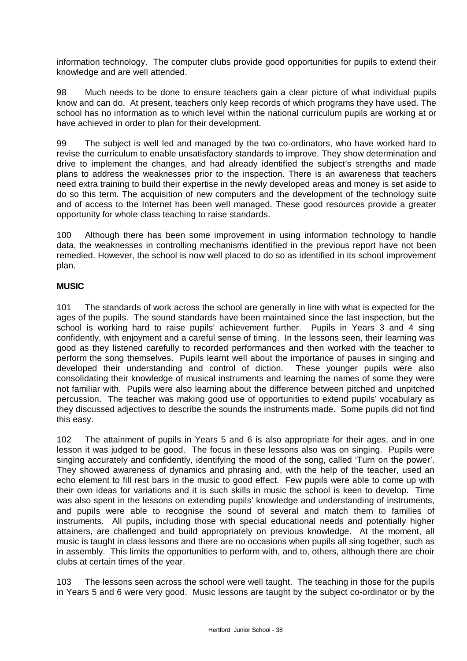information technology. The computer clubs provide good opportunities for pupils to extend their knowledge and are well attended.

98 Much needs to be done to ensure teachers gain a clear picture of what individual pupils know and can do. At present, teachers only keep records of which programs they have used. The school has no information as to which level within the national curriculum pupils are working at or have achieved in order to plan for their development.

99 The subject is well led and managed by the two co-ordinators, who have worked hard to revise the curriculum to enable unsatisfactory standards to improve. They show determination and drive to implement the changes, and had already identified the subject's strengths and made plans to address the weaknesses prior to the inspection. There is an awareness that teachers need extra training to build their expertise in the newly developed areas and money is set aside to do so this term. The acquisition of new computers and the development of the technology suite and of access to the Internet has been well managed. These good resources provide a greater opportunity for whole class teaching to raise standards.

100 Although there has been some improvement in using information technology to handle data, the weaknesses in controlling mechanisms identified in the previous report have not been remedied. However, the school is now well placed to do so as identified in its school improvement plan.

## **MUSIC**

101 The standards of work across the school are generally in line with what is expected for the ages of the pupils. The sound standards have been maintained since the last inspection, but the school is working hard to raise pupils' achievement further. Pupils in Years 3 and 4 sing confidently, with enjoyment and a careful sense of timing. In the lessons seen, their learning was good as they listened carefully to recorded performances and then worked with the teacher to perform the song themselves. Pupils learnt well about the importance of pauses in singing and developed their understanding and control of diction. These younger pupils were also consolidating their knowledge of musical instruments and learning the names of some they were not familiar with. Pupils were also learning about the difference between pitched and unpitched percussion. The teacher was making good use of opportunities to extend pupils' vocabulary as they discussed adjectives to describe the sounds the instruments made. Some pupils did not find this easy.

102 The attainment of pupils in Years 5 and 6 is also appropriate for their ages, and in one lesson it was judged to be good. The focus in these lessons also was on singing. Pupils were singing accurately and confidently, identifying the mood of the song, called 'Turn on the power'. They showed awareness of dynamics and phrasing and, with the help of the teacher, used an echo element to fill rest bars in the music to good effect. Few pupils were able to come up with their own ideas for variations and it is such skills in music the school is keen to develop. Time was also spent in the lessons on extending pupils' knowledge and understanding of instruments, and pupils were able to recognise the sound of several and match them to families of instruments. All pupils, including those with special educational needs and potentially higher attainers, are challenged and build appropriately on previous knowledge. At the moment, all music is taught in class lessons and there are no occasions when pupils all sing together, such as in assembly. This limits the opportunities to perform with, and to, others, although there are choir clubs at certain times of the year.

103 The lessons seen across the school were well taught. The teaching in those for the pupils in Years 5 and 6 were very good. Music lessons are taught by the subject co-ordinator or by the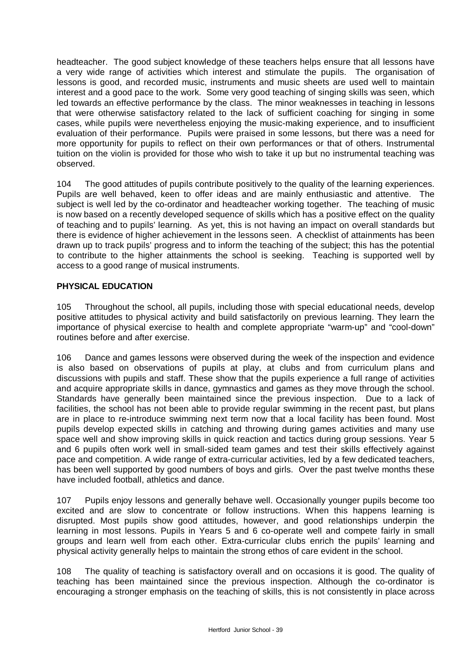headteacher. The good subject knowledge of these teachers helps ensure that all lessons have a very wide range of activities which interest and stimulate the pupils. The organisation of lessons is good, and recorded music, instruments and music sheets are used well to maintain interest and a good pace to the work. Some very good teaching of singing skills was seen, which led towards an effective performance by the class. The minor weaknesses in teaching in lessons that were otherwise satisfactory related to the lack of sufficient coaching for singing in some cases, while pupils were nevertheless enjoying the music-making experience, and to insufficient evaluation of their performance. Pupils were praised in some lessons, but there was a need for more opportunity for pupils to reflect on their own performances or that of others. Instrumental tuition on the violin is provided for those who wish to take it up but no instrumental teaching was observed.

104 The good attitudes of pupils contribute positively to the quality of the learning experiences. Pupils are well behaved, keen to offer ideas and are mainly enthusiastic and attentive. The subject is well led by the co-ordinator and headteacher working together. The teaching of music is now based on a recently developed sequence of skills which has a positive effect on the quality of teaching and to pupils' learning. As yet, this is not having an impact on overall standards but there is evidence of higher achievement in the lessons seen. A checklist of attainments has been drawn up to track pupils' progress and to inform the teaching of the subject; this has the potential to contribute to the higher attainments the school is seeking. Teaching is supported well by access to a good range of musical instruments.

# **PHYSICAL EDUCATION**

105 Throughout the school, all pupils, including those with special educational needs, develop positive attitudes to physical activity and build satisfactorily on previous learning. They learn the importance of physical exercise to health and complete appropriate "warm-up" and "cool-down" routines before and after exercise.

106 Dance and games lessons were observed during the week of the inspection and evidence is also based on observations of pupils at play, at clubs and from curriculum plans and discussions with pupils and staff. These show that the pupils experience a full range of activities and acquire appropriate skills in dance, gymnastics and games as they move through the school. Standards have generally been maintained since the previous inspection. Due to a lack of facilities, the school has not been able to provide regular swimming in the recent past, but plans are in place to re-introduce swimming next term now that a local facility has been found. Most pupils develop expected skills in catching and throwing during games activities and many use space well and show improving skills in quick reaction and tactics during group sessions. Year 5 and 6 pupils often work well in small-sided team games and test their skills effectively against pace and competition. A wide range of extra-curricular activities, led by a few dedicated teachers, has been well supported by good numbers of boys and girls. Over the past twelve months these have included football, athletics and dance.

107 Pupils enjoy lessons and generally behave well. Occasionally younger pupils become too excited and are slow to concentrate or follow instructions. When this happens learning is disrupted. Most pupils show good attitudes, however, and good relationships underpin the learning in most lessons. Pupils in Years 5 and 6 co-operate well and compete fairly in small groups and learn well from each other. Extra-curricular clubs enrich the pupils' learning and physical activity generally helps to maintain the strong ethos of care evident in the school.

108 The quality of teaching is satisfactory overall and on occasions it is good. The quality of teaching has been maintained since the previous inspection. Although the co-ordinator is encouraging a stronger emphasis on the teaching of skills, this is not consistently in place across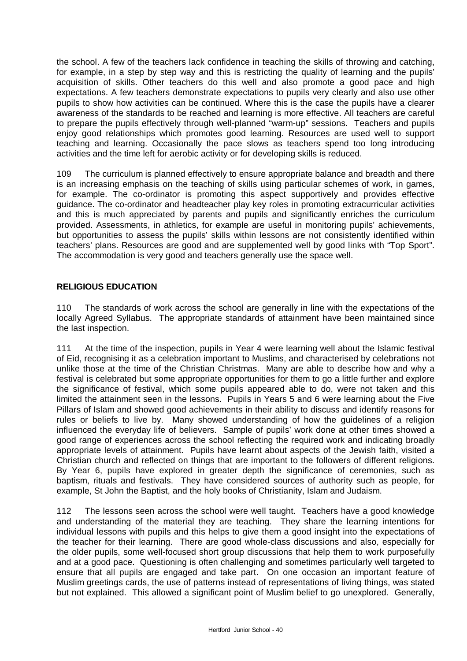the school. A few of the teachers lack confidence in teaching the skills of throwing and catching, for example, in a step by step way and this is restricting the quality of learning and the pupils' acquisition of skills. Other teachers do this well and also promote a good pace and high expectations. A few teachers demonstrate expectations to pupils very clearly and also use other pupils to show how activities can be continued. Where this is the case the pupils have a clearer awareness of the standards to be reached and learning is more effective. All teachers are careful to prepare the pupils effectively through well-planned "warm-up" sessions. Teachers and pupils enjoy good relationships which promotes good learning. Resources are used well to support teaching and learning. Occasionally the pace slows as teachers spend too long introducing activities and the time left for aerobic activity or for developing skills is reduced.

109 The curriculum is planned effectively to ensure appropriate balance and breadth and there is an increasing emphasis on the teaching of skills using particular schemes of work, in games, for example. The co-ordinator is promoting this aspect supportively and provides effective guidance. The co-ordinator and headteacher play key roles in promoting extracurricular activities and this is much appreciated by parents and pupils and significantly enriches the curriculum provided. Assessments, in athletics, for example are useful in monitoring pupils' achievements, but opportunities to assess the pupils' skills within lessons are not consistently identified within teachers' plans. Resources are good and are supplemented well by good links with "Top Sport". The accommodation is very good and teachers generally use the space well.

# **RELIGIOUS EDUCATION**

110 The standards of work across the school are generally in line with the expectations of the locally Agreed Syllabus. The appropriate standards of attainment have been maintained since the last inspection.

111 At the time of the inspection, pupils in Year 4 were learning well about the Islamic festival of Eid, recognising it as a celebration important to Muslims, and characterised by celebrations not unlike those at the time of the Christian Christmas. Many are able to describe how and why a festival is celebrated but some appropriate opportunities for them to go a little further and explore the significance of festival, which some pupils appeared able to do, were not taken and this limited the attainment seen in the lessons. Pupils in Years 5 and 6 were learning about the Five Pillars of Islam and showed good achievements in their ability to discuss and identify reasons for rules or beliefs to live by. Many showed understanding of how the guidelines of a religion influenced the everyday life of believers. Sample of pupils' work done at other times showed a good range of experiences across the school reflecting the required work and indicating broadly appropriate levels of attainment. Pupils have learnt about aspects of the Jewish faith, visited a Christian church and reflected on things that are important to the followers of different religions. By Year 6, pupils have explored in greater depth the significance of ceremonies, such as baptism, rituals and festivals. They have considered sources of authority such as people, for example, St John the Baptist, and the holy books of Christianity, Islam and Judaism.

112 The lessons seen across the school were well taught. Teachers have a good knowledge and understanding of the material they are teaching. They share the learning intentions for individual lessons with pupils and this helps to give them a good insight into the expectations of the teacher for their learning. There are good whole-class discussions and also, especially for the older pupils, some well-focused short group discussions that help them to work purposefully and at a good pace. Questioning is often challenging and sometimes particularly well targeted to ensure that all pupils are engaged and take part. On one occasion an important feature of Muslim greetings cards, the use of patterns instead of representations of living things, was stated but not explained. This allowed a significant point of Muslim belief to go unexplored. Generally,